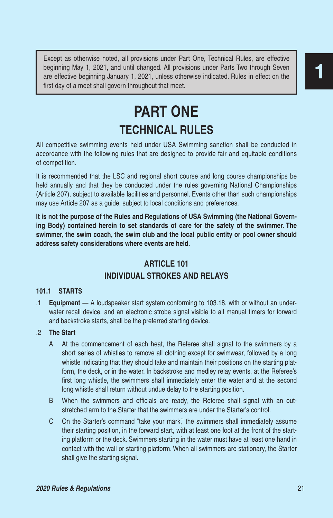beginning May 1, 2021, and until changed. All provisions under Parts Two through Seven are effective beginning January 1, 2021, unless otherwise indicated. Rules in effect on the first day of a meet shall govern throughout that meet.

# **PART ONE TECHNICAL RULES**

All competitive swimming events held under USA Swimming sanction shall be conducted in accordance with the following rules that are designed to provide fair and equitable conditions of competition.

It is recommended that the LSC and regional short course and long course championships be held annually and that they be conducted under the rules governing National Championships (Article 207), subject to available facilities and personnel. Events other than such championships may use Article 207 as a guide, subject to local conditions and preferences.

**It is not the purpose of the Rules and Regulations of USA Swimming (the National Governing Body) contained herein to set standards of care for the safety of the swimmer. The swimmer, the swim coach, the swim club and the local public entity or pool owner should address safety considerations where events are held.**

# **ARTICLE 101**

# **INDIVIDUAL STROKES AND RELAYS**

## **101.1 STARTS**

.1 **Equipment** — A loudspeaker start system conforming to 103.18, with or without an underwater recall device, and an electronic strobe signal visible to all manual timers for forward and backstroke starts, shall be the preferred starting device.

# .2 **The Start**

- A At the commencement of each heat, the Referee shall signal to the swimmers by a short series of whistles to remove all clothing except for swimwear, followed by a long whistle indicating that they should take and maintain their positions on the starting platform, the deck, or in the water. In backstroke and medley relay events, at the Referee's first long whistle, the swimmers shall immediately enter the water and at the second long whistle shall return without undue delay to the starting position. Except as otherwise media, all provisions under Part One, Technical Rules, are reflective beginning May 1, 2021, and until changed. All provisions under Parts Two through Several are effective beginning shenus 1, 2022, und
	- B When the swimmers and officials are ready, the Referee shall signal with an outstretched arm to the Starter that the swimmers are under the Starter's control.
	- C On the Starter's command "take your mark," the swimmers shall immediately assume their starting position, in the forward start, with at least one foot at the front of the starting platform or the deck. Swimmers starting in the water must have at least one hand in contact with the wall or starting platform. When all swimmers are stationary, the Starter shall give the starting signal.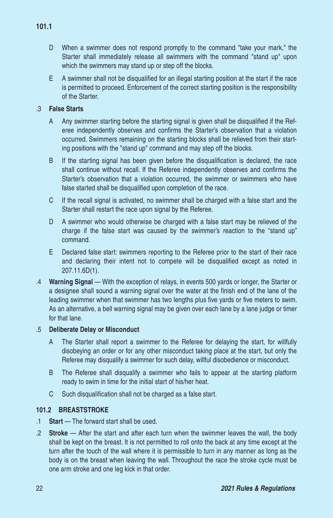- D When a swimmer does not respond promptly to the command "take your mark," the Starter shall immediately release all swimmers with the command "stand up" upon which the swimmers may stand up or step off the blocks.
- E A swimmer shall not be disqualified for an illegal starting position at the start if the race is permitted to proceed. Enforcement of the correct starting position is the responsibility of the Starter.

## .3 **False Starts**

- A Any swimmer starting before the starting signal is given shall be disqualified if the Referee independently observes and confirms the Starter's observation that a violation occurred. Swimmers remaining on the starting blocks shall be relieved from their starting positions with the "stand up" command and may step off the blocks.
- B If the starting signal has been given before the disqualification is declared, the race shall continue without recall. If the Referee independently observes and confirms the Starter's observation that a violation occurred, the swimmer or swimmers who have false started shall be disqualified upon completion of the race.
- C If the recall signal is activated, no swimmer shall be charged with a false start and the Starter shall restart the race upon signal by the Referee.
- D A swimmer who would otherwise be charged with a false start may be relieved of the charge if the false start was caused by the swimmer's reaction to the "stand up" command.
- E Declared false start: swimmers reporting to the Referee prior to the start of their race and declaring their intent not to compete will be disqualified except as noted in 207.11.6D(1).
- .4 **Warning Signal**  With the exception of relays, in events 500 yards or longer, the Starter or a designee shall sound a warning signal over the water at the finish end of the lane of the leading swimmer when that swimmer has two lengths plus five yards or five meters to swim. As an alternative, a bell warning signal may be given over each lane by a lane judge or timer for that lane.

## .5 **Deliberate Delay or Misconduct**

- A The Starter shall report a swimmer to the Referee for delaying the start, for willfully disobeying an order or for any other misconduct taking place at the start, but only the Referee may disqualify a swimmer for such delay, willful disobedience or misconduct.
- B The Referee shall disqualify a swimmer who fails to appear at the starting platform ready to swim in time for the initial start of his/her heat.
- C Such disqualification shall not be charged as a false start.

#### **101.2 BREASTSTROKE**

- .1 **Start**  The forward start shall be used.
- .2 **Stroke** After the start and after each turn when the swimmer leaves the wall, the body shall be kept on the breast. It is not permitted to roll onto the back at any time except at the turn after the touch of the wall where it is permissible to turn in any manner as long as the body is on the breast when leaving the wall. Throughout the race the stroke cycle must be one arm stroke and one leg kick in that order.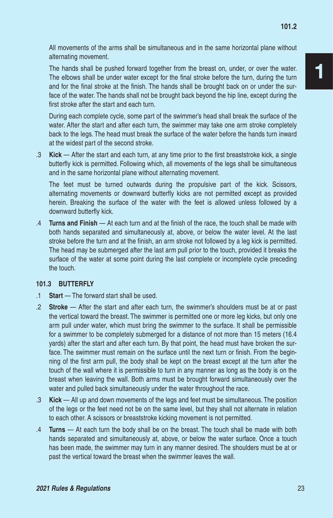All movements of the arms shall be simultaneous and in the same horizontal plane without alternating movement.

The hands shall be pushed forward together from the breast on, under, or over the water. The elbows shall be under water except for the final stroke before the turn, during the turn and for the final stroke at the finish. The hands shall be brought back on or under the surface of the water. The hands shall not be brought back beyond the hip line, except during the first stroke after the start and each turn.

During each complete cycle, some part of the swimmer's head shall break the surface of the water. After the start and after each turn, the swimmer may take one arm stroke completely back to the legs. The head must break the surface of the water before the hands turn inward at the widest part of the second stroke.

.3 **Kick** — After the start and each turn, at any time prior to the first breaststroke kick, a single butterfly kick is permitted. Following which, all movements of the legs shall be simultaneous and in the same horizontal plane without alternating movement.

The feet must be turned outwards during the propulsive part of the kick. Scissors, alternating movements or downward butterfly kicks are not permitted except as provided herein. Breaking the surface of the water with the feet is allowed unless followed by a downward butterfly kick.

.4 **Turns and Finish** — At each turn and at the finish of the race, the touch shall be made with both hands separated and simultaneously at, above, or below the water level. At the last stroke before the turn and at the finish, an arm stroke not followed by a leg kick is permitted. The head may be submerged after the last arm pull prior to the touch, provided it breaks the surface of the water at some point during the last complete or incomplete cycle preceding the touch.

#### **101.3 BUTTERFLY**

- .1 **Start**  The forward start shall be used.
- .2 **Stroke** After the start and after each turn, the swimmer's shoulders must be at or past the vertical toward the breast. The swimmer is permitted one or more leg kicks, but only one arm pull under water, which must bring the swimmer to the surface. It shall be permissible for a swimmer to be completely submerged for a distance of not more than 15 meters (16.4 yards) after the start and after each turn. By that point, the head must have broken the surface. The swimmer must remain on the surface until the next turn or finish. From the beginning of the first arm pull, the body shall be kept on the breast except at the turn after the touch of the wall where it is permissible to turn in any manner as long as the body is on the breast when leaving the wall. Both arms must be brought forward simultaneously over the water and pulled back simultaneously under the water throughout the race.
- .3 **Kick** All up and down movements of the legs and feet must be simultaneous. The position of the legs or the feet need not be on the same level, but they shall not alternate in relation to each other. A scissors or breaststroke kicking movement is not permitted.
- .4 **Turns** At each turn the body shall be on the breast. The touch shall be made with both hands separated and simultaneously at, above, or below the water surface. Once a touch has been made, the swimmer may turn in any manner desired. The shoulders must be at or past the vertical toward the breast when the swimmer leaves the wall.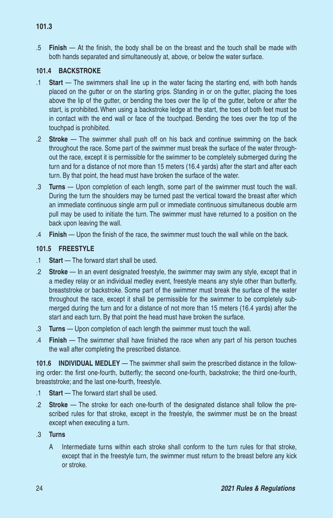.5 **Finish** — At the finish, the body shall be on the breast and the touch shall be made with both hands separated and simultaneously at, above, or below the water surface.

#### **101.4 BACKSTROKE**

- .1 **Start**  The swimmers shall line up in the water facing the starting end, with both hands placed on the gutter or on the starting grips. Standing in or on the gutter, placing the toes above the lip of the gutter, or bending the toes over the lip of the gutter, before or after the start, is prohibited. When using a backstroke ledge at the start, the toes of both feet must be in contact with the end wall or face of the touchpad. Bending the toes over the top of the touchpad is prohibited.
- .2 **Stroke** The swimmer shall push off on his back and continue swimming on the back throughout the race. Some part of the swimmer must break the surface of the water throughout the race, except it is permissible for the swimmer to be completely submerged during the turn and for a distance of not more than 15 meters (16.4 yards) after the start and after each turn. By that point, the head must have broken the surface of the water.
- .3 **Turns** Upon completion of each length, some part of the swimmer must touch the wall. During the turn the shoulders may be turned past the vertical toward the breast after which an immediate continuous single arm pull or immediate continuous simultaneous double arm pull may be used to initiate the turn. The swimmer must have returned to a position on the back upon leaving the wall.
- .4 **Finish** Upon the finish of the race, the swimmer must touch the wall while on the back.

## **101.5 FREESTYLE**

- .1 **Start**  The forward start shall be used.
- .2 **Stroke** In an event designated freestyle, the swimmer may swim any style, except that in a medley relay or an individual medley event, freestyle means any style other than butterfly, breaststroke or backstroke. Some part of the swimmer must break the surface of the water throughout the race, except it shall be permissible for the swimmer to be completely submerged during the turn and for a distance of not more than 15 meters (16.4 yards) after the start and each turn. By that point the head must have broken the surface.
- .3 **Turns** Upon completion of each length the swimmer must touch the wall.
- .4 **Finish** The swimmer shall have finished the race when any part of his person touches the wall after completing the prescribed distance.

**101.6 INDIVIDUAL MEDLEY** — The swimmer shall swim the prescribed distance in the following order: the first one-fourth, butterfly; the second one-fourth, backstroke; the third one-fourth, breaststroke; and the last one-fourth, freestyle.

- .1 **Start**  The forward start shall be used.
- .2 **Stroke** The stroke for each one-fourth of the designated distance shall follow the prescribed rules for that stroke, except in the freestyle, the swimmer must be on the breast except when executing a turn.
- .3 **Turns**
	- A Intermediate turns within each stroke shall conform to the turn rules for that stroke, except that in the freestyle turn, the swimmer must return to the breast before any kick or stroke.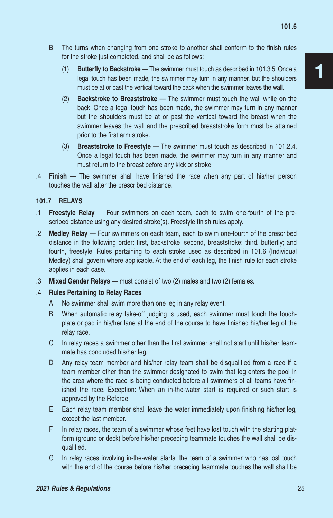- B The turns when changing from one stroke to another shall conform to the finish rules for the stroke just completed, and shall be as follows:
	- (1) **Butterfly to Backstroke**  The swimmer must touch as described in 101.3.5. Once a legal touch has been made, the swimmer may turn in any manner, but the shoulders must be at or past the vertical toward the back when the swimmer leaves the wall.
	- (2) **Backstroke to Breaststroke —** The swimmer must touch the wall while on the back. Once a legal touch has been made, the swimmer may turn in any manner but the shoulders must be at or past the vertical toward the breast when the swimmer leaves the wall and the prescribed breaststroke form must be attained prior to the first arm stroke.
	- (3) **Breaststroke to Freestyle** The swimmer must touch as described in 101.2.4. Once a legal touch has been made, the swimmer may turn in any manner and must return to the breast before any kick or stroke.
- .4 **Finish**  The swimmer shall have finished the race when any part of his/her person touches the wall after the prescribed distance.

## **101.7 RELAYS**

- .1 **Freestyle Relay**  Four swimmers on each team, each to swim one-fourth of the prescribed distance using any desired stroke(s). Freestyle finish rules apply.
- .2 **Medley Relay** Four swimmers on each team, each to swim one-fourth of the prescribed distance in the following order: first, backstroke; second, breaststroke; third, butterfly; and fourth, freestyle. Rules pertaining to each stroke used as described in 101.6 (Individual Medley) shall govern where applicable. At the end of each leg, the finish rule for each stroke applies in each case.
- .3 **Mixed Gender Relays** must consist of two (2) males and two (2) females.
- .4 **Rules Pertaining to Relay Races**
	- A No swimmer shall swim more than one leg in any relay event.
	- B When automatic relay take-off judging is used, each swimmer must touch the touchplate or pad in his/her lane at the end of the course to have finished his/her leg of the relay race.
	- C In relay races a swimmer other than the first swimmer shall not start until his/her teammate has concluded his/her leg.
	- D Any relay team member and his/her relay team shall be disqualified from a race if a team member other than the swimmer designated to swim that leg enters the pool in the area where the race is being conducted before all swimmers of all teams have finished the race. Exception: When an in-the-water start is required or such start is approved by the Referee.
	- E Each relay team member shall leave the water immediately upon finishing his/her leg, except the last member.
	- F In relay races, the team of a swimmer whose feet have lost touch with the starting platform (ground or deck) before his/her preceding teammate touches the wall shall be disqualified.
	- G In relay races involving in-the-water starts, the team of a swimmer who has lost touch with the end of the course before his/her preceding teammate touches the wall shall be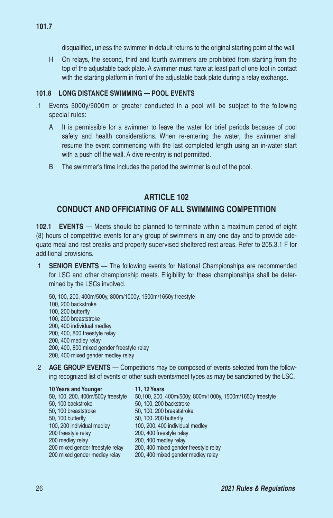disqualified, unless the swimmer in default returns to the original starting point at the wall.

H On relays, the second, third and fourth swimmers are prohibited from starting from the top of the adjustable back plate. A swimmer must have at least part of one foot in contact with the starting platform in front of the adjustable back plate during a relay exchange.

#### **101.8 LONG DISTANCE SWIMMING — POOL EVENTS**

- .1 Events 5000y/5000m or greater conducted in a pool will be subject to the following special rules:
	- A It is permissible for a swimmer to leave the water for brief periods because of pool safety and health considerations. When re-entering the water, the swimmer shall resume the event commencing with the last completed length using an in-water start with a push off the wall. A dive re-entry is not permitted.
	- B The swimmer's time includes the period the swimmer is out of the pool.

# **ARTICLE 102**

# **CONDUCT AND OFFICIATING OF ALL SWIMMING COMPETITION**

**102.1 EVENTS** — Meets should be planned to terminate within a maximum period of eight (8) hours of competitive events for any group of swimmers in any one day and to provide adequate meal and rest breaks and properly supervised sheltered rest areas. Refer to 205.3.1 F for additional provisions.

- .1 **SENIOR EVENTS**  The following events for National Championships are recommended for LSC and other championship meets. Eligibility for these championships shall be determined by the LSCs involved.
	- 50, 100, 200, 400m/500y, 800m/1000y, 1500m/1650y freestyle 100, 200 backstroke 100, 200 butterfly 100, 200 breaststroke 200, 400 individual medley 200, 400, 800 freestyle relay 200, 400 medley relay 200, 400, 800 mixed gender freestyle relay 200, 400 mixed gender medley relay

.2 **AGE GROUP EVENTS** — Competitions may be composed of events selected from the following recognized list of events or other such events/meet types as may be sanctioned by the LSC.

| 10 Years and Younger              | <b>11, 12 Years</b>                                       |
|-----------------------------------|-----------------------------------------------------------|
| 50, 100, 200, 400m/500y freestyle | 50,100, 200, 400m/500y, 800m/1000y, 1500m/1650y freestyle |
| 50, 100 backstroke                | 50, 100, 200 backstroke                                   |
| 50, 100 breaststroke              | 50, 100, 200 breaststroke                                 |
| 50, 100 butterfly                 | 50, 100, 200 butterfly                                    |
| 100, 200 individual medley        | 100, 200, 400 individual medlev                           |
| 200 freestyle relay               | 200, 400 freestyle relay                                  |
| 200 medley relay                  | 200, 400 medley relay                                     |
| 200 mixed gender freestyle relay  | 200, 400 mixed gender freestyle relay                     |
| 200 mixed gender medley relay     | 200, 400 mixed gender medley relay                        |
|                                   |                                                           |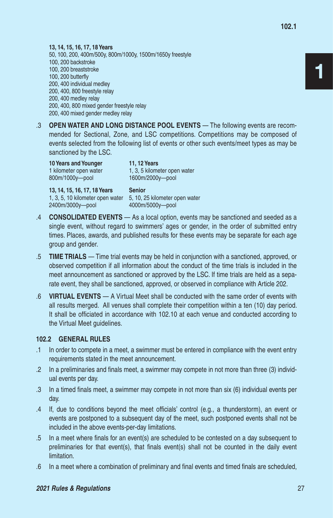**13, 14, 15, 16, 17, 18 Years** 50, 100, 200, 400m/500y, 800m/1000y, 1500m/1650y freestyle 100, 200 backstroke 100, 200 breaststroke 100, 200 butterfly 200, 400 individual medley 200, 400, 800 freestyle relay 200, 400 medley relay 200, 400, 800 mixed gender freestyle relay 200, 400 mixed gender medley relay

.3 **OPEN WATER AND LONG DISTANCE POOL EVENTS** — The following events are recommended for Sectional, Zone, and LSC competitions. Competitions may be composed of events selected from the following list of events or other such events/meet types as may be sanctioned by the LSC.

**10 Years and Younger 11, 12 Years** 800m/1000y—pool 1600m/2000y—pool

1 kilometer open water 1, 3, 5 kilometer open water

**13, 14, 15, 16, 17, 18 Years Senior** 1, 3, 5, 10 kilometer open water 5, 10, 25 kilometer open water 2400m/3000y—pool 4000m/5000y—pool

- .4 **CONSOLIDATED EVENTS**  As a local option, events may be sanctioned and seeded as a single event, without regard to swimmers' ages or gender, in the order of submitted entry times. Places, awards, and published results for these events may be separate for each age group and gender.
- .5 **TIME TRIALS**  Time trial events may be held in conjunction with a sanctioned, approved, or observed competition if all information about the conduct of the time trials is included in the meet announcement as sanctioned or approved by the LSC. If time trials are held as a separate event, they shall be sanctioned, approved, or observed in compliance with Article 202.
- .6 **VIRTUAL EVENTS**  A Virtual Meet shall be conducted with the same order of events with all results merged. All venues shall complete their competition within a ten (10) day period. It shall be officiated in accordance with 102.10 at each venue and conducted according to the Virtual Meet guidelines.

#### **102.2 GENERAL RULES**

- .1 In order to compete in a meet, a swimmer must be entered in compliance with the event entry requirements stated in the meet announcement.
- .2 In a preliminaries and finals meet, a swimmer may compete in not more than three (3) individual events per day.
- .3 In a timed finals meet, a swimmer may compete in not more than six (6) individual events per day.
- .4 If, due to conditions beyond the meet officials' control (e.g., a thunderstorm), an event or events are postponed to a subsequent day of the meet, such postponed events shall not be included in the above events-per-day limitations.
- .5 In a meet where finals for an event(s) are scheduled to be contested on a day subsequent to preliminaries for that event(s), that finals event(s) shall not be counted in the daily event limitation.
- .6 In a meet where a combination of preliminary and final events and timed finals are scheduled,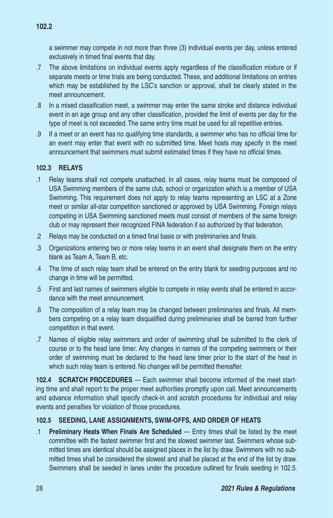a swimmer may compete in not more than three (3) individual events per day, unless entered exclusively in timed final events that day.

- .7 The above limitations on individual events apply regardless of the classification mixture or if separate meets or time trials are being conducted. These, and additional limitations on entries which may be established by the LSC's sanction or approval, shall be clearly stated in the meet announcement.
- .8 In a mixed classification meet, a swimmer may enter the same stroke and distance individual event in an age group and any other classification, provided the limit of events per day for the type of meet is not exceeded. The same entry time must be used for all repetitive entries.
- .9 If a meet or an event has no qualifying time standards, a swimmer who has no official time for an event may enter that event with no submitted time. Meet hosts may specify in the meet announcement that swimmers must submit estimated times if they have no official times.

# **102.3 RELAYS**

- .1 Relay teams shall not compete unattached. In all cases, relay teams must be composed of USA Swimming members of the same club, school or organization which is a member of USA Swimming. This requirement does not apply to relay teams representing an LSC at a Zone meet or similar all-star competition sanctioned or approved by USA Swimming. Foreign relays competing in USA Swimming sanctioned meets must consist of members of the same foreign club or may represent their recognized FINA federation if so authorized by that federation.
- .2 Relays may be conducted on a timed final basis or with preliminaries and finals.
- .3 Organizations entering two or more relay teams in an event shall designate them on the entry blank as Team A, Team B, etc.
- .4 The time of each relay team shall be entered on the entry blank for seeding purposes and no change in time will be permitted.
- .5 First and last names of swimmers eligible to compete in relay events shall be entered in accordance with the meet announcement.
- .6 The composition of a relay team may be changed between preliminaries and finals. All members competing on a relay team disqualified during preliminaries shall be barred from further competition in that event.
- .7 Names of eligible relay swimmers and order of swimming shall be submitted to the clerk of course or to the head lane timer. Any changes in names of the competing swimmers or their order of swimming must be declared to the head lane timer prior to the start of the heat in which such relay team is entered. No changes will be permitted thereafter.

**102.4 SCRATCH PROCEDURES** — Each swimmer shall become informed of the meet starting time and shall report to the proper meet authorities promptly upon call. Meet announcements and advance information shall specify check-in and scratch procedures for individual and relay events and penalties for violation of those procedures.

# **102.5 SEEDING, LANE ASSIGNMENTS, SWIM-OFFS, AND ORDER OF HEATS**

.1 **Preliminary Heats When Finals Are Scheduled** — Entry times shall be listed by the meet committee with the fastest swimmer first and the slowest swimmer last. Swimmers whose submitted times are identical should be assigned places in the list by draw. Swimmers with no submitted times shall be considered the slowest and shall be placed at the end of the list by draw. Swimmers shall be seeded in lanes under the procedure outlined for finals seeding in 102.5.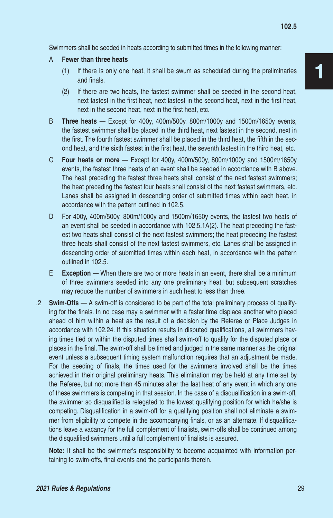Swimmers shall be seeded in heats according to submitted times in the following manner:

- A **Fewer than three heats**
	- (1) If there is only one heat, it shall be swum as scheduled during the preliminaries and finals.
	- (2) If there are two heats, the fastest swimmer shall be seeded in the second heat, next fastest in the first heat, next fastest in the second heat, next in the first heat, next in the second heat, next in the first heat, etc.
- B **Three heats**  Except for 400y, 400m/500y, 800m/1000y and 1500m/1650y events, the fastest swimmer shall be placed in the third heat, next fastest in the second, next in the first. The fourth fastest swimmer shall be placed in the third heat, the fifth in the second heat, and the sixth fastest in the first heat, the seventh fastest in the third heat, etc.
- C **Four heats or more** Except for 400y, 400m/500y, 800m/1000y and 1500m/1650y events, the fastest three heats of an event shall be seeded in accordance with B above. The heat preceding the fastest three heats shall consist of the next fastest swimmers; the heat preceding the fastest four heats shall consist of the next fastest swimmers, etc. Lanes shall be assigned in descending order of submitted times within each heat, in accordance with the pattern outlined in 102.5.
- D For 400y, 400m/500y, 800m/1000y and 1500m/1650y events, the fastest two heats of an event shall be seeded in accordance with 102.5.1A(2). The heat preceding the fastest two heats shall consist of the next fastest swimmers; the heat preceding the fastest three heats shall consist of the next fastest swimmers, etc. Lanes shall be assigned in descending order of submitted times within each heat, in accordance with the pattern outlined in 102.5.
- E **Exception** When there are two or more heats in an event, there shall be a minimum of three swimmers seeded into any one preliminary heat, but subsequent scratches may reduce the number of swimmers in such heat to less than three.
- .2 **Swim-Offs**  A swim-off is considered to be part of the total preliminary process of qualifying for the finals. In no case may a swimmer with a faster time displace another who placed ahead of him within a heat as the result of a decision by the Referee or Place Judges in accordance with 102.24. If this situation results in disputed qualifications, all swimmers having times tied or within the disputed times shall swim-off to qualify for the disputed place or places in the final. The swim-off shall be timed and judged in the same manner as the original event unless a subsequent timing system malfunction requires that an adjustment be made. For the seeding of finals, the times used for the swimmers involved shall be the times achieved in their original preliminary heats. This elimination may be held at any time set by the Referee, but not more than 45 minutes after the last heat of any event in which any one of these swimmers is competing in that session. In the case of a disqualification in a swim-off, the swimmer so disqualified is relegated to the lowest qualifying position for which he/she is competing. Disqualification in a swim-off for a qualifying position shall not eliminate a swimmer from eligibility to compete in the accompanying finals, or as an alternate. If disqualifications leave a vacancy for the full complement of finalists, swim-offs shall be continued among the disqualified swimmers until a full complement of finalists is assured.

**Note:** It shall be the swimmer's responsibility to become acquainted with information pertaining to swim-offs, final events and the participants therein.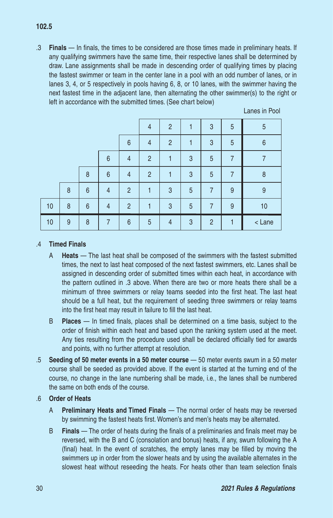.3 **Finals** — In finals, the times to be considered are those times made in preliminary heats. If any qualifying swimmers have the same time, their respective lanes shall be determined by draw. Lane assignments shall be made in descending order of qualifying times by placing the fastest swimmer or team in the center lane in a pool with an odd number of lanes, or in lanes 3, 4, or 5 respectively in pools having 6, 8, or 10 lanes, with the swimmer having the next fastest time in the adjacent lane, then alternating the other swimmer(s) to the right or left in accordance with the submitted times. (See chart below)

|    |   |   |                 |                | 4              | $\overline{2}$ |   | 3              | 5 | 5      |
|----|---|---|-----------------|----------------|----------------|----------------|---|----------------|---|--------|
|    |   |   |                 | 6              | $\overline{4}$ | $\overline{2}$ |   | 3              | 5 | 6      |
|    |   |   | 6               | $\overline{4}$ | $\overline{2}$ |                | 3 | 5              | 7 | 7      |
|    |   | 8 | $6\phantom{1}6$ | $\overline{4}$ | $\overline{2}$ |                | 3 | 5              | 7 | 8      |
|    | 8 | 6 | $\overline{4}$  | $\overline{2}$ |                | 3              | 5 | 7              | 9 | 9      |
| 10 | 8 | 6 | 4               | $\overline{2}$ |                | 3              | 5 | 7              | 9 | 10     |
| 10 | 9 | 8 |                 | 6              | 5              | $\overline{4}$ | 3 | $\overline{2}$ |   | < Lane |

Lanes in Pool

#### .4 **Timed Finals**

- A **Heats**  The last heat shall be composed of the swimmers with the fastest submitted times, the next to last heat composed of the next fastest swimmers, etc. Lanes shall be assigned in descending order of submitted times within each heat, in accordance with the pattern outlined in .3 above. When there are two or more heats there shall be a minimum of three swimmers or relay teams seeded into the first heat. The last heat should be a full heat, but the requirement of seeding three swimmers or relay teams into the first heat may result in failure to fill the last heat.
- B **Places** In timed finals, places shall be determined on a time basis, subject to the order of finish within each heat and based upon the ranking system used at the meet. Any ties resulting from the procedure used shall be declared officially tied for awards and points, with no further attempt at resolution.
- .5 **Seeding of 50 meter events in a 50 meter course**  50 meter events swum in a 50 meter course shall be seeded as provided above. If the event is started at the turning end of the course, no change in the lane numbering shall be made, i.e., the lanes shall be numbered the same on both ends of the course.

#### .6 **Order of Heats**

- A **Preliminary Heats and Timed Finals**  The normal order of heats may be reversed by swimming the fastest heats first. Women's and men's heats may be alternated.
- B **Finals** The order of heats during the finals of a preliminaries and finals meet may be reversed, with the B and C (consolation and bonus) heats, if any, swum following the A (final) heat. In the event of scratches, the empty lanes may be filled by moving the swimmers up in order from the slower heats and by using the available alternates in the slowest heat without reseeding the heats. For heats other than team selection finals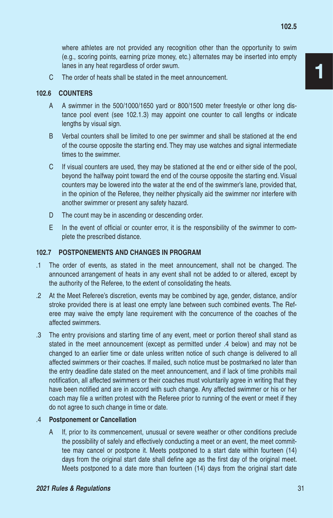where athletes are not provided any recognition other than the opportunity to swim (e.g., scoring points, earning prize money, etc.) alternates may be inserted into empty lanes in any heat regardless of order swum.

C The order of heats shall be stated in the meet announcement.

#### **102.6 COUNTERS**

- A A swimmer in the 500/1000/1650 yard or 800/1500 meter freestyle or other long distance pool event (see 102.1.3) may appoint one counter to call lengths or indicate lengths by visual sign.
- B Verbal counters shall be limited to one per swimmer and shall be stationed at the end of the course opposite the starting end. They may use watches and signal intermediate times to the swimmer.
- C If visual counters are used, they may be stationed at the end or either side of the pool, beyond the halfway point toward the end of the course opposite the starting end. Visual counters may be lowered into the water at the end of the swimmer's lane, provided that, in the opinion of the Referee, they neither physically aid the swimmer nor interfere with another swimmer or present any safety hazard.
- D The count may be in ascending or descending order.
- E In the event of official or counter error, it is the responsibility of the swimmer to complete the prescribed distance.

#### **102.7 POSTPONEMENTS AND CHANGES IN PROGRAM**

- .1 The order of events, as stated in the meet announcement, shall not be changed. The announced arrangement of heats in any event shall not be added to or altered, except by the authority of the Referee, to the extent of consolidating the heats.
- .2 At the Meet Referee's discretion, events may be combined by age, gender, distance, and/or stroke provided there is at least one empty lane between such combined events. The Referee may waive the empty lane requirement with the concurrence of the coaches of the affected swimmers.
- .3 The entry provisions and starting time of any event, meet or portion thereof shall stand as stated in the meet announcement (except as permitted under .4 below) and may not be changed to an earlier time or date unless written notice of such change is delivered to all affected swimmers or their coaches. If mailed, such notice must be postmarked no later than the entry deadline date stated on the meet announcement, and if lack of time prohibits mail notification, all affected swimmers or their coaches must voluntarily agree in writing that they have been notified and are in accord with such change. Any affected swimmer or his or her coach may file a written protest with the Referee prior to running of the event or meet if they do not agree to such change in time or date.

#### .4 **Postponement or Cancellation**

A If, prior to its commencement, unusual or severe weather or other conditions preclude the possibility of safely and effectively conducting a meet or an event, the meet committee may cancel or postpone it. Meets postponed to a start date within fourteen (14) days from the original start date shall define age as the first day of the original meet. Meets postponed to a date more than fourteen (14) days from the original start date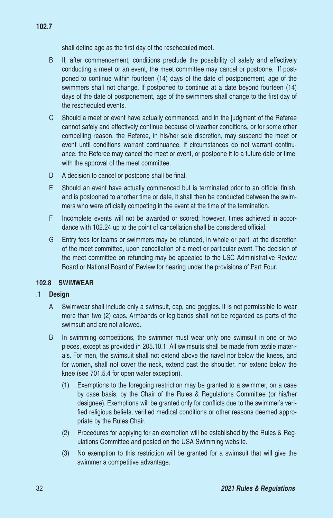shall define age as the first day of the rescheduled meet.

- B If, after commencement, conditions preclude the possibility of safely and effectively conducting a meet or an event, the meet committee may cancel or postpone. If postponed to continue within fourteen (14) days of the date of postponement, age of the swimmers shall not change. If postponed to continue at a date beyond fourteen (14) days of the date of postponement, age of the swimmers shall change to the first day of the rescheduled events.
- C Should a meet or event have actually commenced, and in the judgment of the Referee cannot safely and effectively continue because of weather conditions, or for some other compelling reason, the Referee, in his/her sole discretion, may suspend the meet or event until conditions warrant continuance. If circumstances do not warrant continuance, the Referee may cancel the meet or event, or postpone it to a future date or time, with the approval of the meet committee.
- D A decision to cancel or postpone shall be final.
- E Should an event have actually commenced but is terminated prior to an official finish, and is postponed to another time or date, it shall then be conducted between the swimmers who were officially competing in the event at the time of the termination.
- F Incomplete events will not be awarded or scored; however, times achieved in accordance with 102.24 up to the point of cancellation shall be considered official.
- G Entry fees for teams or swimmers may be refunded, in whole or part, at the discretion of the meet committee, upon cancellation of a meet or particular event. The decision of the meet committee on refunding may be appealed to the LSC Administrative Review Board or National Board of Review for hearing under the provisions of Part Four.

#### **102.8 SWIMWEAR**

#### .1 **Design**

- A Swimwear shall include only a swimsuit, cap, and goggles. It is not permissible to wear more than two (2) caps. Armbands or leg bands shall not be regarded as parts of the swimsuit and are not allowed.
- B In swimming competitions, the swimmer must wear only one swimsuit in one or two pieces, except as provided in 205.10.1. All swimsuits shall be made from textile materials. For men, the swimsuit shall not extend above the navel nor below the knees, and for women, shall not cover the neck, extend past the shoulder, nor extend below the knee (see 701.5.4 for open water exception).
	- (1) Exemptions to the foregoing restriction may be granted to a swimmer, on a case by case basis, by the Chair of the Rules & Regulations Committee (or his/her designee). Exemptions will be granted only for conflicts due to the swimmer's verified religious beliefs, verified medical conditions or other reasons deemed appropriate by the Rules Chair.
	- (2) Procedures for applying for an exemption will be established by the Rules & Regulations Committee and posted on the USA Swimming website.
	- (3) No exemption to this restriction will be granted for a swimsuit that will give the swimmer a competitive advantage.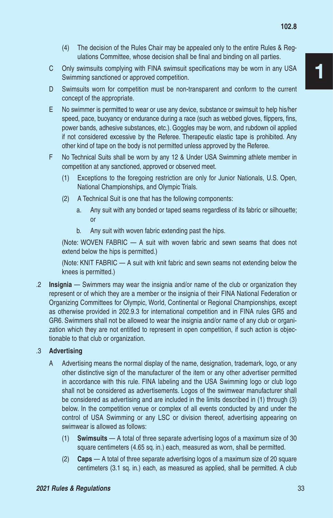- (4) The decision of the Rules Chair may be appealed only to the entire Rules & Regulations Committee, whose decision shall be final and binding on all parties.
- C Only swimsuits complying with FINA swimsuit specifications may be worn in any USA Swimming sanctioned or approved competition.
- D Swimsuits worn for competition must be non-transparent and conform to the current concept of the appropriate.
- E No swimmer is permitted to wear or use any device, substance or swimsuit to help his/her speed, pace, buoyancy or endurance during a race (such as webbed gloves, flippers, fins, power bands, adhesive substances, etc.). Goggles may be worn, and rubdown oil applied if not considered excessive by the Referee. Therapeutic elastic tape is prohibited. Any other kind of tape on the body is not permitted unless approved by the Referee.
- F No Technical Suits shall be worn by any 12 & Under USA Swimming athlete member in competition at any sanctioned, approved or observed meet.
	- (1) Exceptions to the foregoing restriction are only for Junior Nationals, U.S. Open, National Championships, and Olympic Trials.
	- (2) A Technical Suit is one that has the following components:
		- a. Any suit with any bonded or taped seams regardless of its fabric or silhouette; or
		- b. Any suit with woven fabric extending past the hips.

(Note: WOVEN FABRIC — A suit with woven fabric and sewn seams that does not extend below the hips is permitted.)

(Note: KNIT FABRIC — A suit with knit fabric and sewn seams not extending below the knees is permitted.)

.2 **Insignia** — Swimmers may wear the insignia and/or name of the club or organization they represent or of which they are a member or the insignia of their FINA National Federation or Organizing Committees for Olympic, World, Continental or Regional Championships, except as otherwise provided in 202.9.3 for international competition and in FINA rules GR5 and GR6. Swimmers shall not be allowed to wear the insignia and/or name of any club or organization which they are not entitled to represent in open competition, if such action is objectionable to that club or organization.

#### .3 **Advertising**

- A Advertising means the normal display of the name, designation, trademark, logo, or any other distinctive sign of the manufacturer of the item or any other advertiser permitted in accordance with this rule. FINA labeling and the USA Swimming logo or club logo shall not be considered as advertisements. Logos of the swimwear manufacturer shall be considered as advertising and are included in the limits described in (1) through (3) below. In the competition venue or complex of all events conducted by and under the control of USA Swimming or any LSC or division thereof, advertising appearing on swimwear is allowed as follows:
	- (1) **Swimsuits** A total of three separate advertising logos of a maximum size of 30 square centimeters (4.65 sq. in.) each, measured as worn, shall be permitted.
	- (2) **Caps** A total of three separate advertising logos of a maximum size of 20 square centimeters (3.1 sq. in.) each, as measured as applied, shall be permitted. A club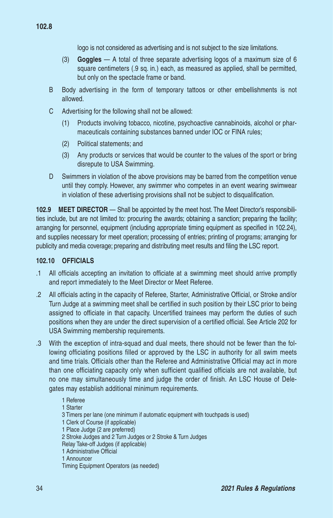logo is not considered as advertising and is not subject to the size limitations.

- (3) **Goggles** A total of three separate advertising logos of a maximum size of 6 square centimeters (.9 sq. in.) each, as measured as applied, shall be permitted, but only on the spectacle frame or band.
- B Body advertising in the form of temporary tattoos or other embellishments is not allowed.
- C Advertising for the following shall not be allowed:
	- (1) Products involving tobacco, nicotine, psychoactive cannabinoids, alcohol or pharmaceuticals containing substances banned under IOC or FINA rules;
	- (2) Political statements; and
	- (3) Any products or services that would be counter to the values of the sport or bring disrepute to USA Swimming.
- D Swimmers in violation of the above provisions may be barred from the competition venue until they comply. However, any swimmer who competes in an event wearing swimwear in violation of these advertising provisions shall not be subject to disqualification.

**102.9 MEET DIRECTOR** — Shall be appointed by the meet host. The Meet Director's responsibilities include, but are not limited to: procuring the awards; obtaining a sanction; preparing the facility; arranging for personnel, equipment (including appropriate timing equipment as specified in 102.24), and supplies necessary for meet operation; processing of entries; printing of programs; arranging for publicity and media coverage; preparing and distributing meet results and filing the LSC report.

#### **102.10 OFFICIALS**

- .1 All officials accepting an invitation to officiate at a swimming meet should arrive promptly and report immediately to the Meet Director or Meet Referee.
- .2 All officials acting in the capacity of Referee, Starter, Administrative Official, or Stroke and/or Turn Judge at a swimming meet shall be certified in such position by their LSC prior to being assigned to officiate in that capacity. Uncertified trainees may perform the duties of such positions when they are under the direct supervision of a certified official. See Article 202 for USA Swimming membership requirements.
- .3 With the exception of intra-squad and dual meets, there should not be fewer than the following officiating positions filled or approved by the LSC in authority for all swim meets and time trials. Officials other than the Referee and Administrative Official may act in more than one officiating capacity only when sufficient qualified officials are not available, but no one may simultaneously time and judge the order of finish. An LSC House of Delegates may establish additional minimum requirements.
	- 1 Referee 1 Starter 3 Timers per lane (one minimum if automatic equipment with touchpads is used) 1 Clerk of Course (if applicable) 1 Place Judge (2 are preferred) 2 Stroke Judges and 2 Turn Judges or 2 Stroke & Turn Judges Relay Take-off Judges (if applicable) 1 Administrative Official 1 Announcer Timing Equipment Operators (as needed)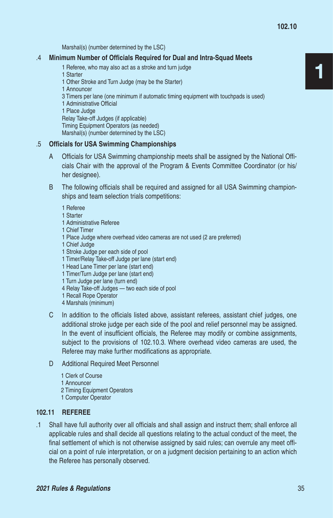Marshal(s) (number determined by the LSC)

#### .4 **Minimum Number of Officials Required for Dual and Intra-Squad Meets**

- 1 Referee, who may also act as a stroke and turn judge
- 1 Starter
- 1 Other Stroke and Turn Judge (may be the Starter)
- 1 Announcer 3 Timers per lane (one minimum if automatic timing equipment with touchpads is used) 1 Administrative Official 1 Place Judge Relay Take-off Judges (if applicable)

Timing Equipment Operators (as needed)

Marshal(s) (number determined by the LSC)

#### .5 **Officials for USA Swimming Championships**

- A Officials for USA Swimming championship meets shall be assigned by the National Officials Chair with the approval of the Program & Events Committee Coordinator (or his/ her designee).
- B The following officials shall be required and assigned for all USA Swimming championships and team selection trials competitions:
	- 1 Referee
	- 1 Starter
	- 1 Administrative Referee
	- 1 Chief Timer
	- 1 Place Judge where overhead video cameras are not used (2 are preferred)
	- 1 Chief Judge
	- 1 Stroke Judge per each side of pool
	- 1 Timer/Relay Take-off Judge per lane (start end)
	- 1 Head Lane Timer per lane (start end)
	- 1 Timer/Turn Judge per lane (start end)
	- 1 Turn Judge per lane (turn end)
	- 4 Relay Take-off Judges two each side of pool
	- 1 Recall Rope Operator
	- 4 Marshals (minimum)
- C In addition to the officials listed above, assistant referees, assistant chief judges, one additional stroke judge per each side of the pool and relief personnel may be assigned. In the event of insufficient officials, the Referee may modify or combine assignments, subject to the provisions of 102.10.3. Where overhead video cameras are used, the Referee may make further modifications as appropriate.
- D Additional Required Meet Personnel
	- 1 Clerk of Course
	- 1 Announcer
	- 2 Timing Equipment Operators
	- 1 Computer Operator

#### **102.11 REFEREE**

.1 Shall have full authority over all officials and shall assign and instruct them; shall enforce all applicable rules and shall decide all questions relating to the actual conduct of the meet, the final settlement of which is not otherwise assigned by said rules; can overrule any meet official on a point of rule interpretation, or on a judgment decision pertaining to an action which the Referee has personally observed.

1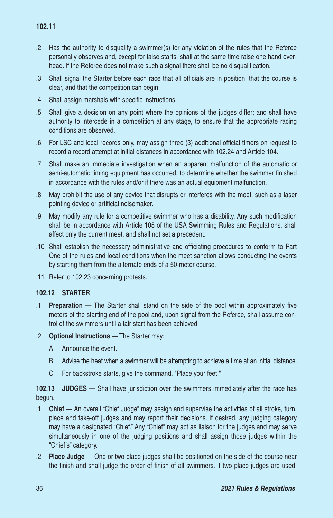- .2 Has the authority to disqualify a swimmer(s) for any violation of the rules that the Referee personally observes and, except for false starts, shall at the same time raise one hand overhead. If the Referee does not make such a signal there shall be no disqualification.
- .3 Shall signal the Starter before each race that all officials are in position, that the course is clear, and that the competition can begin.
- .4 Shall assign marshals with specific instructions.
- .5 Shall give a decision on any point where the opinions of the judges differ; and shall have authority to intercede in a competition at any stage, to ensure that the appropriate racing conditions are observed.
- .6 For LSC and local records only, may assign three (3) additional official timers on request to record a record attempt at initial distances in accordance with 102.24 and Article 104.
- .7 Shall make an immediate investigation when an apparent malfunction of the automatic or semi-automatic timing equipment has occurred, to determine whether the swimmer finished in accordance with the rules and/or if there was an actual equipment malfunction.
- .8 May prohibit the use of any device that disrupts or interferes with the meet, such as a laser pointing device or artificial noisemaker.
- .9 May modify any rule for a competitive swimmer who has a disability. Any such modification shall be in accordance with Article 105 of the USA Swimming Rules and Regulations, shall affect only the current meet, and shall not set a precedent.
- .10 Shall establish the necessary administrative and officiating procedures to conform to Part One of the rules and local conditions when the meet sanction allows conducting the events by starting them from the alternate ends of a 50-meter course.
- .11 Refer to 102.23 concerning protests.

#### **102.12 STARTER**

- .1 **Preparation**  The Starter shall stand on the side of the pool within approximately five meters of the starting end of the pool and, upon signal from the Referee, shall assume control of the swimmers until a fair start has been achieved.
- .2 **Optional Instructions**  The Starter may:
	- A Announce the event.
	- B Advise the heat when a swimmer will be attempting to achieve a time at an initial distance.
	- C For backstroke starts, give the command, "Place your feet."

**102.13 JUDGES** — Shall have jurisdiction over the swimmers immediately after the race has begun.

- .1 **Chief**  An overall "Chief Judge" may assign and supervise the activities of all stroke, turn, place and take-off judges and may report their decisions. If desired, any judging category may have a designated "Chief." Any "Chief" may act as liaison for the judges and may serve simultaneously in one of the judging positions and shall assign those judges within the "Chief's" category.
- .2 **Place Judge**  One or two place judges shall be positioned on the side of the course near the finish and shall judge the order of finish of all swimmers. If two place judges are used,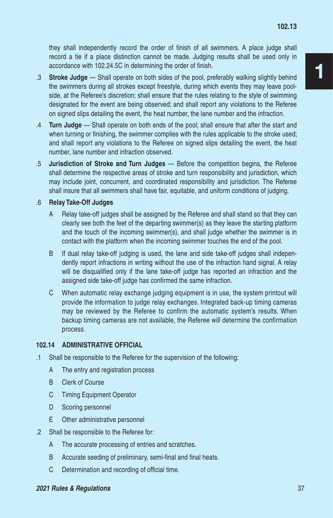they shall independently record the order of finish of all swimmers. A place judge shall record a tie if a place distinction cannot be made. Judging results shall be used only in accordance with 102.24.5C in determining the order of finish.

- .3 **Stroke Judge**  Shall operate on both sides of the pool, preferably walking slightly behind the swimmers during all strokes except freestyle, during which events they may leave poolside, at the Referee's discretion; shall ensure that the rules relating to the style of swimming designated for the event are being observed; and shall report any violations to the Referee on signed slips detailing the event, the heat number, the lane number and the infraction.
- .4 **Turn Judge**  Shall operate on both ends of the pool; shall ensure that after the start and when turning or finishing, the swimmer complies with the rules applicable to the stroke used; and shall report any violations to the Referee on signed slips detailing the event, the heat number, lane number and infraction observed.
- .5 **Jurisdiction of Stroke and Turn Judges**  Before the competition begins, the Referee shall determine the respective areas of stroke and turn responsibility and jurisdiction, which may include joint, concurrent, and coordinated responsibility and jurisdiction. The Referee shall insure that all swimmers shall have fair, equitable, and uniform conditions of judging.
- .6 **Relay Take-Off Judges**
	- A Relay take-off judges shall be assigned by the Referee and shall stand so that they can clearly see both the feet of the departing swimmer(s) as they leave the starting platform and the touch of the incoming swimmer(s), and shall judge whether the swimmer is in contact with the platform when the incoming swimmer touches the end of the pool.
	- B If dual relay take-off judging is used, the lane and side take-off judges shall independently report infractions in writing without the use of the infraction hand signal. A relay will be disqualified only if the lane take-off judge has reported an infraction and the assigned side take-off judge has confirmed the same infraction.
	- C When automatic relay exchange judging equipment is in use, the system printout will provide the information to judge relay exchanges. Integrated back-up timing cameras may be reviewed by the Referee to confirm the automatic system's results. When backup timing cameras are not available, the Referee will determine the confirmation process.

## **102.14 ADMINISTRATIVE OFFICIAL**

- .1 Shall be responsible to the Referee for the supervision of the following:
	- A The entry and registration process
	- B Clerk of Course
	- C Timing Equipment Operator
	- D Scoring personnel
	- E Other administrative personnel
- .2 Shall be responsible to the Referee for:
	- A The accurate processing of entries and scratches.
	- B Accurate seeding of preliminary, semi-final and final heats.
	- C Determination and recording of official time.

#### *2021 Rules & Regulations* 37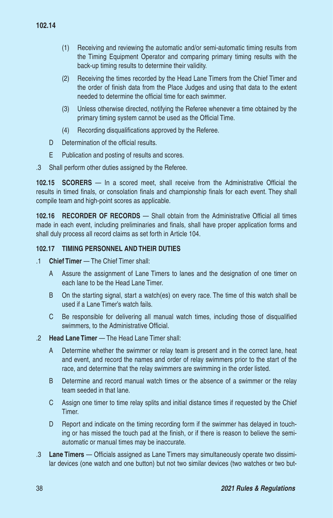- (1) Receiving and reviewing the automatic and/or semi-automatic timing results from the Timing Equipment Operator and comparing primary timing results with the back-up timing results to determine their validity.
- (2) Receiving the times recorded by the Head Lane Timers from the Chief Timer and the order of finish data from the Place Judges and using that data to the extent needed to determine the official time for each swimmer.
- (3) Unless otherwise directed, notifying the Referee whenever a time obtained by the primary timing system cannot be used as the Official Time.
- (4) Recording disqualifications approved by the Referee.
- D Determination of the official results.
- E Publication and posting of results and scores.
- .3 Shall perform other duties assigned by the Referee.

**102.15 SCORERS** — In a scored meet, shall receive from the Administrative Official the results in timed finals, or consolation finals and championship finals for each event. They shall compile team and high-point scores as applicable.

**102.16 RECORDER OF RECORDS** — Shall obtain from the Administrative Official all times made in each event, including preliminaries and finals, shall have proper application forms and shall duly process all record claims as set forth in Article 104.

## **102.17 TIMING PERSONNEL AND THEIR DUTIES**

- .1 **Chief Timer**  The Chief Timer shall:
	- A Assure the assignment of Lane Timers to lanes and the designation of one timer on each lane to be the Head Lane Timer.
	- B On the starting signal, start a watch(es) on every race. The time of this watch shall be used if a Lane Timer's watch fails.
	- C Be responsible for delivering all manual watch times, including those of disqualified swimmers, to the Administrative Official.
- .2 **Head Lane Timer**  The Head Lane Timer shall:
	- A Determine whether the swimmer or relay team is present and in the correct lane, heat and event, and record the names and order of relay swimmers prior to the start of the race, and determine that the relay swimmers are swimming in the order listed.
	- B Determine and record manual watch times or the absence of a swimmer or the relay team seeded in that lane.
	- C Assign one timer to time relay splits and initial distance times if requested by the Chief Timer.
	- D Report and indicate on the timing recording form if the swimmer has delayed in touching or has missed the touch pad at the finish, or if there is reason to believe the semiautomatic or manual times may be inaccurate.
- .3 **Lane Timers**  Officials assigned as Lane Timers may simultaneously operate two dissimilar devices (one watch and one button) but not two similar devices (two watches or two but-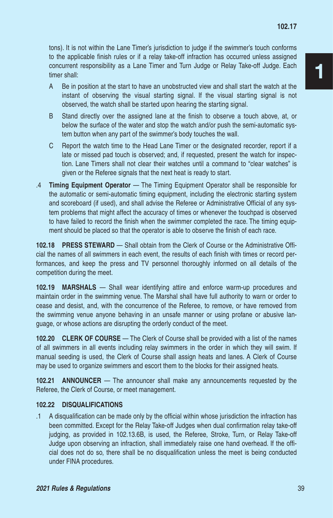tons). It is not within the Lane Timer's jurisdiction to judge if the swimmer's touch conforms to the applicable finish rules or if a relay take-off infraction has occurred unless assigned concurrent responsibility as a Lane Timer and Turn Judge or Relay Take-off Judge. Each timer shall:

- A Be in position at the start to have an unobstructed view and shall start the watch at the instant of observing the visual starting signal. If the visual starting signal is not observed, the watch shall be started upon hearing the starting signal.
- B Stand directly over the assigned lane at the finish to observe a touch above, at, or below the surface of the water and stop the watch and/or push the semi-automatic system button when any part of the swimmer's body touches the wall.
- C Report the watch time to the Head Lane Timer or the designated recorder, report if a late or missed pad touch is observed; and, if requested, present the watch for inspection. Lane Timers shall not clear their watches until a command to "clear watches" is given or the Referee signals that the next heat is ready to start.
- .4 **Timing Equipment Operator**  The Timing Equipment Operator shall be responsible for the automatic or semi-automatic timing equipment, including the electronic starting system and scoreboard (if used), and shall advise the Referee or Administrative Official of any system problems that might affect the accuracy of times or whenever the touchpad is observed to have failed to record the finish when the swimmer completed the race. The timing equipment should be placed so that the operator is able to observe the finish of each race.

**102.18 PRESS STEWARD** — Shall obtain from the Clerk of Course or the Administrative Official the names of all swimmers in each event, the results of each finish with times or record performances, and keep the press and TV personnel thoroughly informed on all details of the competition during the meet.

**102.19 MARSHALS** — Shall wear identifying attire and enforce warm-up procedures and maintain order in the swimming venue. The Marshal shall have full authority to warn or order to cease and desist, and, with the concurrence of the Referee, to remove, or have removed from the swimming venue anyone behaving in an unsafe manner or using profane or abusive language, or whose actions are disrupting the orderly conduct of the meet.

**102.20 CLERK OF COURSE** — The Clerk of Course shall be provided with a list of the names of all swimmers in all events including relay swimmers in the order in which they will swim. If manual seeding is used, the Clerk of Course shall assign heats and lanes. A Clerk of Course may be used to organize swimmers and escort them to the blocks for their assigned heats.

**102.21 ANNOUNCER** — The announcer shall make any announcements requested by the Referee, the Clerk of Course, or meet management.

#### **102.22 DISQUALIFICATIONS**

.1 A disqualification can be made only by the official within whose jurisdiction the infraction has been committed. Except for the Relay Take-off Judges when dual confirmation relay take-off judging, as provided in 102.13.6B, is used, the Referee, Stroke, Turn, or Relay Take-off Judge upon observing an infraction, shall immediately raise one hand overhead. If the official does not do so, there shall be no disqualification unless the meet is being conducted under FINA procedures.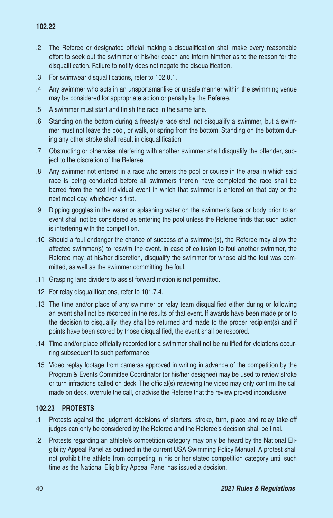# **102.22**

- .2 The Referee or designated official making a disqualification shall make every reasonable effort to seek out the swimmer or his/her coach and inform him/her as to the reason for the disqualification. Failure to notify does not negate the disqualification.
- .3 For swimwear disqualifications, refer to 102.8.1.
- .4 Any swimmer who acts in an unsportsmanlike or unsafe manner within the swimming venue may be considered for appropriate action or penalty by the Referee.
- .5 A swimmer must start and finish the race in the same lane.
- .6 Standing on the bottom during a freestyle race shall not disqualify a swimmer, but a swimmer must not leave the pool, or walk, or spring from the bottom. Standing on the bottom during any other stroke shall result in disqualification.
- .7 Obstructing or otherwise interfering with another swimmer shall disqualify the offender, subject to the discretion of the Referee.
- .8 Any swimmer not entered in a race who enters the pool or course in the area in which said race is being conducted before all swimmers therein have completed the race shall be barred from the next individual event in which that swimmer is entered on that day or the next meet day, whichever is first.
- .9 Dipping goggles in the water or splashing water on the swimmer's face or body prior to an event shall not be considered as entering the pool unless the Referee finds that such action is interfering with the competition.
- .10 Should a foul endanger the chance of success of a swimmer(s), the Referee may allow the affected swimmer(s) to reswim the event. In case of collusion to foul another swimmer, the Referee may, at his/her discretion, disqualify the swimmer for whose aid the foul was committed, as well as the swimmer committing the foul.
- .11 Grasping lane dividers to assist forward motion is not permitted.
- .12 For relay disqualifications, refer to 101.7.4.
- .13 The time and/or place of any swimmer or relay team disqualified either during or following an event shall not be recorded in the results of that event. If awards have been made prior to the decision to disqualify, they shall be returned and made to the proper recipient(s) and if points have been scored by those disqualified, the event shall be rescored.
- .14 Time and/or place officially recorded for a swimmer shall not be nullified for violations occurring subsequent to such performance.
- .15 Video replay footage from cameras approved in writing in advance of the competition by the Program & Events Committee Coordinator (or his/her designee) may be used to review stroke or turn infractions called on deck. The official(s) reviewing the video may only confirm the call made on deck, overrule the call, or advise the Referee that the review proved inconclusive.

#### **102.23 PROTESTS**

- .1 Protests against the judgment decisions of starters, stroke, turn, place and relay take-off judges can only be considered by the Referee and the Referee's decision shall be final.
- .2 Protests regarding an athlete's competition category may only be heard by the National Eligibility Appeal Panel as outlined in the current USA Swimming Policy Manual. A protest shall not prohibit the athlete from competing in his or her stated competition category until such time as the National Eligibility Appeal Panel has issued a decision.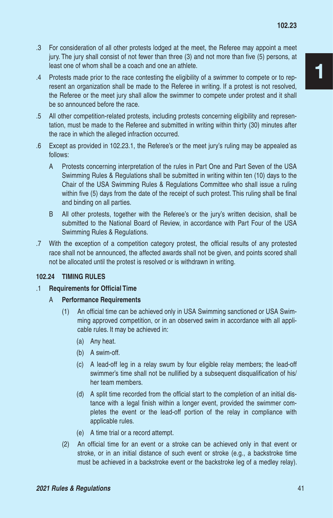- .3 For consideration of all other protests lodged at the meet, the Referee may appoint a meet jury. The jury shall consist of not fewer than three (3) and not more than five (5) persons, at least one of whom shall be a coach and one an athlete.
- .4 Protests made prior to the race contesting the eligibility of a swimmer to compete or to represent an organization shall be made to the Referee in writing. If a protest is not resolved, the Referee or the meet jury shall allow the swimmer to compete under protest and it shall be so announced before the race.
- .5 All other competition-related protests, including protests concerning eligibility and representation, must be made to the Referee and submitted in writing within thirty (30) minutes after the race in which the alleged infraction occurred.
- .6 Except as provided in 102.23.1, the Referee's or the meet jury's ruling may be appealed as follows:
	- A Protests concerning interpretation of the rules in Part One and Part Seven of the USA Swimming Rules & Regulations shall be submitted in writing within ten (10) days to the Chair of the USA Swimming Rules & Regulations Committee who shall issue a ruling within five (5) days from the date of the receipt of such protest. This ruling shall be final and binding on all parties.
	- B All other protests, together with the Referee's or the jury's written decision, shall be submitted to the National Board of Review, in accordance with Part Four of the USA Swimming Rules & Regulations.
- .7 With the exception of a competition category protest, the official results of any protested race shall not be announced, the affected awards shall not be given, and points scored shall not be allocated until the protest is resolved or is withdrawn in writing.

#### **102.24 TIMING RULES**

- .1 **Requirements for Official Time** 
	- A **Performance Requirements**
		- (1) An official time can be achieved only in USA Swimming sanctioned or USA Swimming approved competition, or in an observed swim in accordance with all applicable rules. It may be achieved in:
			- (a) Any heat.
			- (b) A swim-off.
			- (c) A lead-off leg in a relay swum by four eligible relay members; the lead-off swimmer's time shall not be nullified by a subsequent disqualification of his/ her team members.
			- (d) A split time recorded from the official start to the completion of an initial distance with a legal finish within a longer event, provided the swimmer completes the event or the lead-off portion of the relay in compliance with applicable rules.
			- (e) A time trial or a record attempt.
		- (2) An official time for an event or a stroke can be achieved only in that event or stroke, or in an initial distance of such event or stroke (e.g., a backstroke time must be achieved in a backstroke event or the backstroke leg of a medley relay).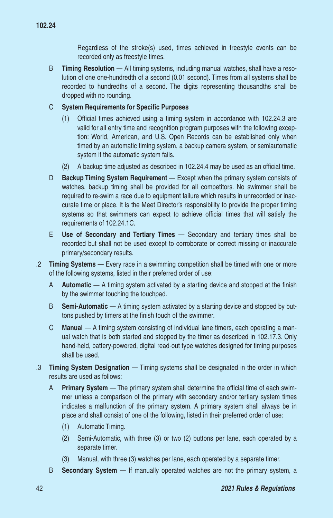**102.24**

Regardless of the stroke(s) used, times achieved in freestyle events can be recorded only as freestyle times.

B **Timing Resolution** — All timing systems, including manual watches, shall have a resolution of one one-hundredth of a second (0.01 second). Times from all systems shall be recorded to hundredths of a second. The digits representing thousandths shall be dropped with no rounding.

## C **System Requirements for Specific Purposes**

- (1) Official times achieved using a timing system in accordance with 102.24.3 are valid for all entry time and recognition program purposes with the following exception: World, American, and U.S. Open Records can be established only when timed by an automatic timing system, a backup camera system, or semiautomatic system if the automatic system fails.
- (2) A backup time adjusted as described in 102.24.4 may be used as an official time.
- D **Backup Timing System Requirement**  Except when the primary system consists of watches, backup timing shall be provided for all competitors. No swimmer shall be required to re-swim a race due to equipment failure which results in unrecorded or inaccurate time or place. It is the Meet Director's responsibility to provide the proper timing systems so that swimmers can expect to achieve official times that will satisfy the requirements of 102.24.1C.
- E **Use of Secondary and Tertiary Times** Secondary and tertiary times shall be recorded but shall not be used except to corroborate or correct missing or inaccurate primary/secondary results.
- .2 **Timing Systems**  Every race in a swimming competition shall be timed with one or more of the following systems, listed in their preferred order of use:
	- A **Automatic**  A timing system activated by a starting device and stopped at the finish by the swimmer touching the touchpad.
	- B **Semi-Automatic** A timing system activated by a starting device and stopped by buttons pushed by timers at the finish touch of the swimmer.
	- C **Manual** A timing system consisting of individual lane timers, each operating a manual watch that is both started and stopped by the timer as described in 102.17.3. Only hand-held, battery-powered, digital read-out type watches designed for timing purposes shall be used.
- .3 **Timing System Designation**  Timing systems shall be designated in the order in which results are used as follows:
	- A **Primary System**  The primary system shall determine the official time of each swimmer unless a comparison of the primary with secondary and/or tertiary system times indicates a malfunction of the primary system. A primary system shall always be in place and shall consist of one of the following, listed in their preferred order of use:
		- (1) Automatic Timing.
		- (2) Semi-Automatic, with three (3) or two (2) buttons per lane, each operated by a separate timer.
		- (3) Manual, with three (3) watches per lane, each operated by a separate timer.
	- B **Secondary System**  If manually operated watches are not the primary system, a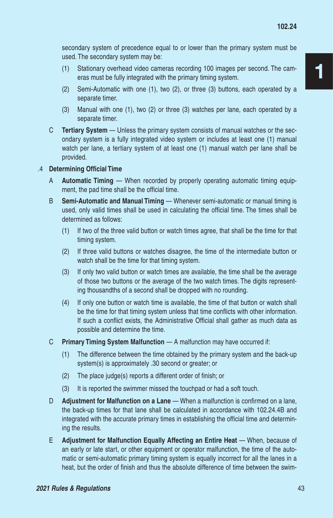secondary system of precedence equal to or lower than the primary system must be used. The secondary system may be:

- (1) Stationary overhead video cameras recording 100 images per second. The cameras must be fully integrated with the primary timing system.
- (2) Semi-Automatic with one (1), two (2), or three (3) buttons, each operated by a separate timer.
- (3) Manual with one (1), two (2) or three (3) watches per lane, each operated by a separate timer.
- C **Tertiary System**  Unless the primary system consists of manual watches or the secondary system is a fully integrated video system or includes at least one (1) manual watch per lane, a tertiary system of at least one (1) manual watch per lane shall be provided.

#### .4 **Determining Official Time**

- A **Automatic Timing** When recorded by properly operating automatic timing equipment, the pad time shall be the official time.
- B **Semi-Automatic and Manual Timing** Whenever semi-automatic or manual timing is used, only valid times shall be used in calculating the official time. The times shall be determined as follows:
	- (1) If two of the three valid button or watch times agree, that shall be the time for that timing system.
	- (2) If three valid buttons or watches disagree, the time of the intermediate button or watch shall be the time for that timing system.
	- (3) If only two valid button or watch times are available, the time shall be the average of those two buttons or the average of the two watch times. The digits representing thousandths of a second shall be dropped with no rounding.
	- (4) If only one button or watch time is available, the time of that button or watch shall be the time for that timing system unless that time conflicts with other information. If such a conflict exists, the Administrative Official shall gather as much data as possible and determine the time.
- C **Primary Timing System Malfunction** A malfunction may have occurred if:
	- (1) The difference between the time obtained by the primary system and the back-up system(s) is approximately .30 second or greater; or
	- (2) The place judge(s) reports a different order of finish; or
	- (3) It is reported the swimmer missed the touchpad or had a soft touch.
- D **Adjustment for Malfunction on a Lane** When a malfunction is confirmed on a lane, the back-up times for that lane shall be calculated in accordance with 102.24.4B and integrated with the accurate primary times in establishing the official time and determining the results.
- E **Adjustment for Malfunction Equally Affecting an Entire Heat** When, because of an early or late start, or other equipment or operator malfunction, the time of the automatic or semi-automatic primary timing system is equally incorrect for all the lanes in a heat, but the order of finish and thus the absolute difference of time between the swim-

1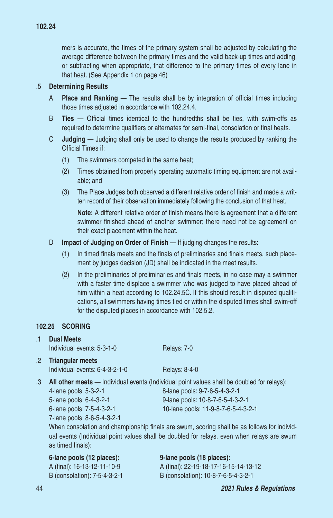mers is accurate, the times of the primary system shall be adjusted by calculating the average difference between the primary times and the valid back-up times and adding, or subtracting when appropriate, that difference to the primary times of every lane in that heat. (See Appendix 1 on page 46)

#### .5 **Determining Results**

- A **Place and Ranking** The results shall be by integration of official times including those times adjusted in accordance with 102.24.4.
- B **Ties** Official times identical to the hundredths shall be ties, with swim-offs as required to determine qualifiers or alternates for semi-final, consolation or final heats.
- C **Judging** Judging shall only be used to change the results produced by ranking the Official Times if:
	- (1) The swimmers competed in the same heat;
	- (2) Times obtained from properly operating automatic timing equipment are not available; and
	- (3) The Place Judges both observed a different relative order of finish and made a written record of their observation immediately following the conclusion of that heat.

**Note:** A different relative order of finish means there is agreement that a different swimmer finished ahead of another swimmer; there need not be agreement on their exact placement within the heat.

- D **Impact of Judging on Order of Finish** If judging changes the results:
	- (1) In timed finals meets and the finals of preliminaries and finals meets, such placement by judges decision (JD) shall be indicated in the meet results.
	- (2) In the preliminaries of preliminaries and finals meets, in no case may a swimmer with a faster time displace a swimmer who was judged to have placed ahead of him within a heat according to 102.24.5C. If this should result in disputed qualifications, all swimmers having times tied or within the disputed times shall swim-off for the disputed places in accordance with 102.5.2.

#### **102.25 SCORING**  .1 **Dual Meets**

|                  | <b>DUAL MEETS</b><br>Individual events: 5-3-1-0                                                              | Relays: 7-0                                                                                                                                                                                                                                                                                       |
|------------------|--------------------------------------------------------------------------------------------------------------|---------------------------------------------------------------------------------------------------------------------------------------------------------------------------------------------------------------------------------------------------------------------------------------------------|
| $.2\overline{ }$ | <b>Triangular meets</b><br>Individual events: 6-4-3-2-1-0                                                    | <b>Relays: 8-4-0</b>                                                                                                                                                                                                                                                                              |
| .3               | 4-lane pools: 5-3-2-1<br>5-lane pools: 6-4-3-2-1<br>6-lane pools: 7-5-4-3-2-1<br>7-lane pools: 8-6-5-4-3-2-1 | All other meets - Individual events (Individual point values shall be doubled for relays):<br>8-lane pools: 9-7-6-5-4-3-2-1<br>9-lane pools: 10-8-7-6-5-4-3-2-1<br>10-lane pools: 11-9-8-7-6-5-4-3-2-1<br>When consolation and championship finals are swum, scoring shall be as follows for indi |

shall be as follows for individual events (Individual point values shall be doubled for relays, even when relays are swum as timed finals):

| 6-lane pools (12 places):    | 9-lane pools (18 places):             |  |  |  |
|------------------------------|---------------------------------------|--|--|--|
| A (final): 16-13-12-11-10-9  | A (final): 22-19-18-17-16-15-14-13-12 |  |  |  |
| B (consolation): 7-5-4-3-2-1 | B (consolation): 10-8-7-6-5-4-3-2-1   |  |  |  |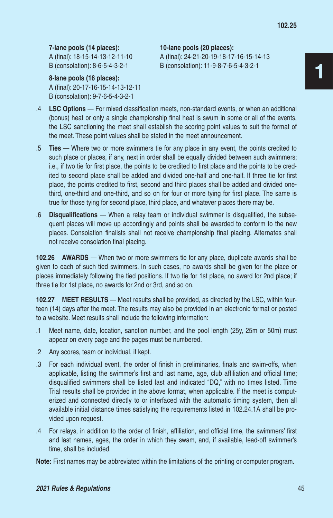**7-lane pools (14 places): 10-lane pools (20 places):**

**8-lane pools (16 places):** A (final): 20-17-16-15-14-13-12-11 B (consolation): 9-7-6-5-4-3-2-1

A (final): 18-15-14-13-12-11-10 A (final): 24-21-20-19-18-17-16-15-14-13 B (consolation): 8-6-5-4-3-2-1 B (consolation): 11-9-8-7-6-5-4-3-2-1

- 1
- .4 **LSC Options**  For mixed classification meets, non-standard events, or when an additional (bonus) heat or only a single championship final heat is swum in some or all of the events, the LSC sanctioning the meet shall establish the scoring point values to suit the format of the meet. These point values shall be stated in the meet announcement.
- .5 **Ties**  Where two or more swimmers tie for any place in any event, the points credited to such place or places, if any, next in order shall be equally divided between such swimmers; i.e., if two tie for first place, the points to be credited to first place and the points to be credited to second place shall be added and divided one-half and one-half. If three tie for first place, the points credited to first, second and third places shall be added and divided onethird, one-third and one-third, and so on for four or more tying for first place. The same is true for those tying for second place, third place, and whatever places there may be.
- .6 **Disqualifications**  When a relay team or individual swimmer is disqualified, the subsequent places will move up accordingly and points shall be awarded to conform to the new places. Consolation finalists shall not receive championship final placing. Alternates shall not receive consolation final placing.

**102.26 AWARDS** — When two or more swimmers tie for any place, duplicate awards shall be given to each of such tied swimmers. In such cases, no awards shall be given for the place or places immediately following the tied positions. If two tie for 1st place, no award for 2nd place; if three tie for 1st place, no awards for 2nd or 3rd, and so on.

**102.27 MEET RESULTS** — Meet results shall be provided, as directed by the LSC, within fourteen (14) days after the meet. The results may also be provided in an electronic format or posted to a website. Meet results shall include the following information:

- .1 Meet name, date, location, sanction number, and the pool length (25y, 25m or 50m) must appear on every page and the pages must be numbered.
- .2 Any scores, team or individual, if kept.
- .3 For each individual event, the order of finish in preliminaries, finals and swim-offs, when applicable, listing the swimmer's first and last name, age, club affiliation and official time; disqualified swimmers shall be listed last and indicated "DQ," with no times listed. Time Trial results shall be provided in the above format, when applicable. If the meet is computerized and connected directly to or interfaced with the automatic timing system, then all available initial distance times satisfying the requirements listed in 102.24.1A shall be provided upon request.
- .4 For relays, in addition to the order of finish, affiliation, and official time, the swimmers' first and last names, ages, the order in which they swam, and, if available, lead-off swimmer's time, shall be included.

**Note:** First names may be abbreviated within the limitations of the printing or computer program.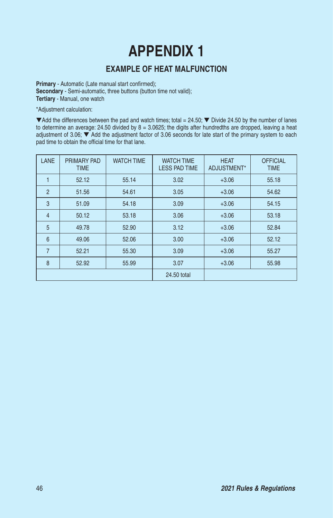# **APPENDIX 1**

# **EXAMPLE OF HEAT MALFUNCTION**

**Primary** - Automatic (Late manual start confirmed); **Secondary** - Semi-automatic, three buttons (button time not valid); **Tertiary** - Manual, one watch

\*Adjustment calculation:

 $\blacktriangledown$  Add the differences between the pad and watch times; total = 24.50;  $\nabla$  Divide 24.50 by the number of lanes to determine an average: 24.50 divided by 8 = 3.0625; the digits after hundredths are dropped, leaving a heat adjustment of 3.06; ▼ Add the adjustment factor of 3.06 seconds for late start of the primary system to each pad time to obtain the official time for that lane.

| LANE                | <b>WATCH TIME</b><br>PRIMARY PAD<br><b>TIME</b> |       | <b>WATCH TIME</b><br><b>LESS PAD TIME</b> | <b>HEAT</b><br>ADJUSTMENT* | <b>OFFICIAL</b><br><b>TIME</b> |
|---------------------|-------------------------------------------------|-------|-------------------------------------------|----------------------------|--------------------------------|
|                     | 52.12                                           | 55.14 | 3.02                                      | $+3.06$                    | 55.18                          |
| $\overline{2}$      | 51.56                                           | 54.61 | 3.05                                      | $+3.06$                    | 54.62                          |
| 3                   | 51.09                                           | 54.18 | 3.09                                      | $+3.06$                    | 54.15                          |
| $\overline{4}$      | 50.12                                           | 53.18 | 3.06                                      | $+3.06$                    | 53.18                          |
| 5                   | 49.78                                           | 52.90 | 3.12                                      | $+3.06$                    | 52.84                          |
| 6                   | 49.06                                           | 52.06 | 3.00                                      | $+3.06$                    | 52.12                          |
| $\overline{7}$      | 52.21                                           | 55.30 | 3.09                                      | $+3.06$                    | 55.27                          |
| 8<br>55.99<br>52.92 |                                                 | 3.07  | $+3.06$                                   | 55.98                      |                                |
|                     |                                                 |       | 24.50 total                               |                            |                                |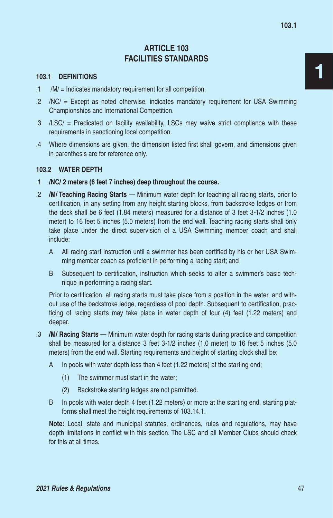# **ARTICLE 103 FACILITIES STANDARDS**

#### **103.1 DEFINITIONS**

- .1 /M/ = Indicates mandatory requirement for all competition.
- .2 /NC/ = Except as noted otherwise, indicates mandatory requirement for USA Swimming Championships and International Competition.
- .3 /LSC/ = Predicated on facility availability, LSCs may waive strict compliance with these requirements in sanctioning local competition.
- .4 Where dimensions are given, the dimension listed first shall govern, and dimensions given in parenthesis are for reference only.

#### **103.2 WATER DEPTH**

- .1 **/NC/ 2 meters (6 feet 7 inches) deep throughout the course.**
- .2 **/M/ Teaching Racing Starts** Minimum water depth for teaching all racing starts, prior to certification, in any setting from any height starting blocks, from backstroke ledges or from the deck shall be 6 feet (1.84 meters) measured for a distance of 3 feet 3-1/2 inches (1.0 meter) to 16 feet 5 inches (5.0 meters) from the end wall. Teaching racing starts shall only take place under the direct supervision of a USA Swimming member coach and shall include:
	- A All racing start instruction until a swimmer has been certified by his or her USA Swimming member coach as proficient in performing a racing start; and
	- B Subsequent to certification, instruction which seeks to alter a swimmer's basic technique in performing a racing start.

Prior to certification, all racing starts must take place from a position in the water, and without use of the backstroke ledge, regardless of pool depth. Subsequent to certification, practicing of racing starts may take place in water depth of four (4) feet (1.22 meters) and deeper.

- .3 **/M/ Racing Starts** Minimum water depth for racing starts during practice and competition shall be measured for a distance 3 feet 3-1/2 inches (1.0 meter) to 16 feet 5 inches (5.0 meters) from the end wall. Starting requirements and height of starting block shall be:
	- A In pools with water depth less than 4 feet (1.22 meters) at the starting end;
		- (1) The swimmer must start in the water;
		- (2) Backstroke starting ledges are not permitted.
	- B In pools with water depth 4 feet (1.22 meters) or more at the starting end, starting platforms shall meet the height requirements of 103.14.1.

**Note:** Local, state and municipal statutes, ordinances, rules and regulations, may have depth limitations in conflict with this section. The LSC and all Member Clubs should check for this at all times.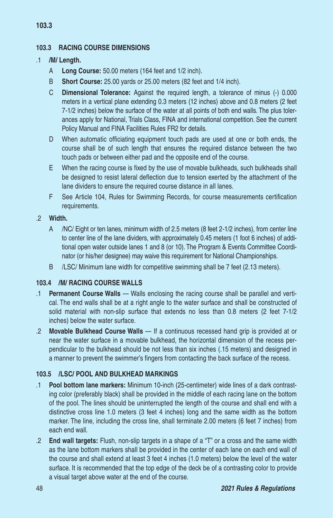# **103.3 RACING COURSE DIMENSIONS**

## .1 **/M/ Length.**

- A **Long Course:** 50.00 meters (164 feet and 1/2 inch).
- B **Short Course:** 25.00 yards or 25.00 meters (82 feet and 1/4 inch).
- C **Dimensional Tolerance:** Against the required length, a tolerance of minus (-) 0.000 meters in a vertical plane extending 0.3 meters (12 inches) above and 0.8 meters (2 feet 7-1/2 inches) below the surface of the water at all points of both end walls. The plus tolerances apply for National, Trials Class, FINA and international competition. See the current Policy Manual and FINA Facilities Rules FR2 for details.
- D When automatic officiating equipment touch pads are used at one or both ends, the course shall be of such length that ensures the required distance between the two touch pads or between either pad and the opposite end of the course.
- E When the racing course is fixed by the use of movable bulkheads, such bulkheads shall be designed to resist lateral deflection due to tension exerted by the attachment of the lane dividers to ensure the required course distance in all lanes.
- F See Article 104, Rules for Swimming Records, for course measurements certification requirements.

#### .2 **Width.**

- A /NC/ Eight or ten lanes, minimum width of 2.5 meters (8 feet 2-1/2 inches), from center line to center line of the lane dividers, with approximately 0.45 meters (1 foot 6 inches) of additional open water outside lanes 1 and 8 (or 10). The Program & Events Committee Coordinator (or his/her designee) may waive this requirement for National Championships.
- B /LSC/ Minimum lane width for competitive swimming shall be 7 feet (2.13 meters).

## **103.4 /M/ RACING COURSE WALLS**

- .1 **Permanent Course Walls**  Walls enclosing the racing course shall be parallel and vertical. The end walls shall be at a right angle to the water surface and shall be constructed of solid material with non-slip surface that extends no less than 0.8 meters (2 feet 7-1/2 inches) below the water surface.
- .2 **Movable Bulkhead Course Walls**  If a continuous recessed hand grip is provided at or near the water surface in a movable bulkhead, the horizontal dimension of the recess perpendicular to the bulkhead should be not less than six inches (.15 meters) and designed in a manner to prevent the swimmer's fingers from contacting the back surface of the recess.

#### **103.5 /LSC/ POOL AND BULKHEAD MARKINGS**

- .1 **Pool bottom lane markers:** Minimum 10-inch (25-centimeter) wide lines of a dark contrasting color (preferably black) shall be provided in the middle of each racing lane on the bottom of the pool. The lines should be uninterrupted the length of the course and shall end with a distinctive cross line 1.0 meters (3 feet 4 inches) long and the same width as the bottom marker. The line, including the cross line, shall terminate 2.00 meters (6 feet 7 inches) from each end wall.
- .2 **End wall targets:** Flush, non-slip targets in a shape of a "T" or a cross and the same width as the lane bottom markers shall be provided in the center of each lane on each end wall of the course and shall extend at least 3 feet 4 inches (1.0 meters) below the level of the water surface. It is recommended that the top edge of the deck be of a contrasting color to provide a visual target above water at the end of the course.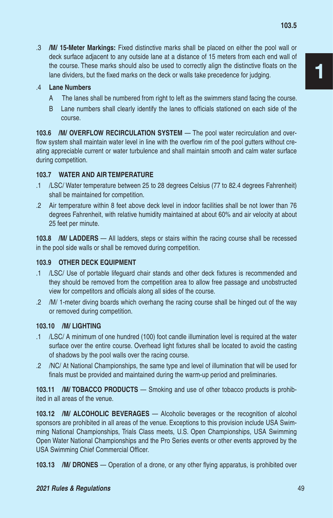.3 **/M/ 15-Meter Markings:** Fixed distinctive marks shall be placed on either the pool wall or deck surface adjacent to any outside lane at a distance of 15 meters from each end wall of the course. These marks should also be used to correctly align the distinctive floats on the lane dividers, but the fixed marks on the deck or walls take precedence for judging.

## .4 **Lane Numbers**

- A The lanes shall be numbered from right to left as the swimmers stand facing the course.
- B Lane numbers shall clearly identify the lanes to officials stationed on each side of the course.

**103.6 /M/ OVERFLOW RECIRCULATION SYSTEM** — The pool water recirculation and overflow system shall maintain water level in line with the overflow rim of the pool gutters without creating appreciable current or water turbulence and shall maintain smooth and calm water surface during competition.

## **103.7 WATER AND AIR TEMPERATURE**

- .1 /LSC/ Water temperature between 25 to 28 degrees Celsius (77 to 82.4 degrees Fahrenheit) shall be maintained for competition.
- .2 Air temperature within 8 feet above deck level in indoor facilities shall be not lower than 76 degrees Fahrenheit, with relative humidity maintained at about 60% and air velocity at about 25 feet per minute.

**103.8 /M/ LADDERS** — All ladders, steps or stairs within the racing course shall be recessed in the pool side walls or shall be removed during competition.

## **103.9 OTHER DECK EQUIPMENT**

- .1 /LSC/ Use of portable lifeguard chair stands and other deck fixtures is recommended and they should be removed from the competition area to allow free passage and unobstructed view for competitors and officials along all sides of the course.
- .2 /M/ 1-meter diving boards which overhang the racing course shall be hinged out of the way or removed during competition.

#### **103.10 /M/ LIGHTING**

- .1 /LSC/ A minimum of one hundred (100) foot candle illumination level is required at the water surface over the entire course. Overhead light fixtures shall be located to avoid the casting of shadows by the pool walls over the racing course.
- .2 /NC/ At National Championships, the same type and level of illumination that will be used for finals must be provided and maintained during the warm-up period and preliminaries.

**103.11 /M/ TOBACCO PRODUCTS** — Smoking and use of other tobacco products is prohibited in all areas of the venue.

**103.12** /M/ **ALCOHOLIC BEVERAGES** — Alcoholic beverages or the recognition of alcohol sponsors are prohibited in all areas of the venue. Exceptions to this provision include USA Swimming National Championships, Trials Class meets, U.S. Open Championships, USA Swimming Open Water National Championships and the Pro Series events or other events approved by the USA Swimming Chief Commercial Officer.

**103.13 /M/ DRONES** — Operation of a drone, or any other flying apparatus, is prohibited over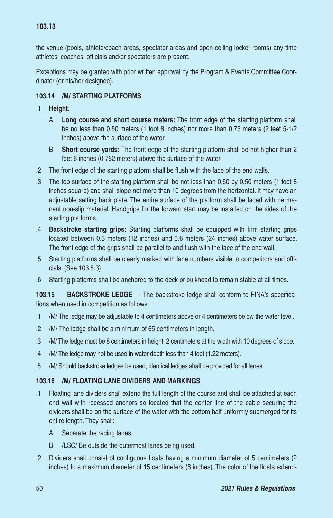the venue (pools, athlete/coach areas, spectator areas and open-ceiling locker rooms) any time athletes, coaches, officials and/or spectators are present.

Exceptions may be granted with prior written approval by the Program & Events Committee Coordinator (or his/her designee).

## **103.14 /M/ STARTING PLATFORMS**

- .1 **Height.**
	- A **Long course and short course meters:** The front edge of the starting platform shall be no less than 0.50 meters (1 foot 8 inches) nor more than 0.75 meters (2 feet 5-1/2 inches) above the surface of the water.
	- B **Short course yards:** The front edge of the starting platform shall be not higher than 2 feet 6 inches (0.762 meters) above the surface of the water.
- .2 The front edge of the starting platform shall be flush with the face of the end walls.
- .3 The top surface of the starting platform shall be not less than 0.50 by 0.50 meters (1 foot 8 inches square) and shall slope not more than 10 degrees from the horizontal. It may have an adjustable setting back plate. The entire surface of the platform shall be faced with permanent non-slip material. Handgrips for the forward start may be installed on the sides of the starting platforms.
- .4 **Backstroke starting grips:** Starting platforms shall be equipped with firm starting grips located between 0.3 meters (12 inches) and 0.6 meters (24 inches) above water surface. The front edge of the grips shall be parallel to and flush with the face of the end wall.
- .5 Starting platforms shall be clearly marked with lane numbers visible to competitors and officials. (See 103.5.3)
- .6 Starting platforms shall be anchored to the deck or bulkhead to remain stable at all times.

**103.15 BACKSTROKE LEDGE** — The backstroke ledge shall conform to FINA's specifications when used in competition as follows:

- .1 /M/ The ledge may be adjustable to 4 centimeters above or 4 centimeters below the water level.
- .2 /M/ The ledge shall be a minimum of 65 centimeters in length.
- .3 /M/ The ledge must be 8 centimeters in height, 2 centimeters at the width with 10 degrees of slope.
- .4 /M/ The ledge may not be used in water depth less than 4 feet (1.22 meters).
- .5 /M/ Should backstroke ledges be used, identical ledges shall be provided for all lanes.

## **103.16 /M/ FLOATING LANE DIVIDERS AND MARKINGS**

- .1 Floating lane dividers shall extend the full length of the course and shall be attached at each end wall with recessed anchors so located that the center line of the cable securing the dividers shall be on the surface of the water with the bottom half uniformly submerged for its entire length. They shall:
	- A Separate the racing lanes.
	- B /LSC/ Be outside the outermost lanes being used.
- .2 Dividers shall consist of contiguous floats having a minimum diameter of 5 centimeters (2 inches) to a maximum diameter of 15 centimeters (6 inches). The color of the floats extend-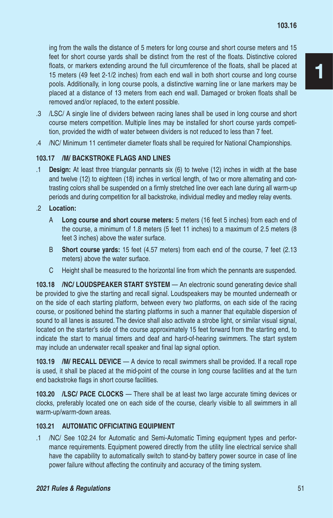ing from the walls the distance of 5 meters for long course and short course meters and 15 feet for short course yards shall be distinct from the rest of the floats. Distinctive colored floats, or markers extending around the full circumference of the floats, shall be placed at 15 meters (49 feet 2-1/2 inches) from each end wall in both short course and long course pools. Additionally, in long course pools, a distinctive warning line or lane markers may be placed at a distance of 13 meters from each end wall. Damaged or broken floats shall be removed and/or replaced, to the extent possible.

- .3 /LSC/ A single line of dividers between racing lanes shall be used in long course and short course meters competition. Multiple lines may be installed for short course yards competition, provided the width of water between dividers is not reduced to less than 7 feet.
- .4 /NC/ Minimum 11 centimeter diameter floats shall be required for National Championships.

## **103.17 /M/ BACKSTROKE FLAGS AND LINES**

.1 **Design:** At least three triangular pennants six (6) to twelve (12) inches in width at the base and twelve (12) to eighteen (18) inches in vertical length, of two or more alternating and contrasting colors shall be suspended on a firmly stretched line over each lane during all warm-up periods and during competition for all backstroke, individual medley and medley relay events.

.2 **Location:**

- A **Long course and short course meters:** 5 meters (16 feet 5 inches) from each end of the course, a minimum of 1.8 meters (5 feet 11 inches) to a maximum of 2.5 meters (8 feet 3 inches) above the water surface.
- B **Short course yards:** 15 feet (4.57 meters) from each end of the course, 7 feet (2.13 meters) above the water surface.
- C Height shall be measured to the horizontal line from which the pennants are suspended.

**103.18 /NC/ LOUDSPEAKER START SYSTEM** — An electronic sound generating device shall be provided to give the starting and recall signal. Loudspeakers may be mounted underneath or on the side of each starting platform, between every two platforms, on each side of the racing course, or positioned behind the starting platforms in such a manner that equitable dispersion of sound to all lanes is assured. The device shall also activate a strobe light, or similar visual signal, located on the starter's side of the course approximately 15 feet forward from the starting end, to indicate the start to manual timers and deaf and hard-of-hearing swimmers. The start system may include an underwater recall speaker and final lap signal option.

**103.19 /M/ RECALL DEVICE** — A device to recall swimmers shall be provided. If a recall rope is used, it shall be placed at the mid-point of the course in long course facilities and at the turn end backstroke flags in short course facilities.

**103.20 /LSC/ PACE CLOCKS** — There shall be at least two large accurate timing devices or clocks, preferably located one on each side of the course, clearly visible to all swimmers in all warm-up/warm-down areas.

## **103.21 AUTOMATIC OFFICIATING EQUIPMENT**

.1 /NC/ See 102.24 for Automatic and Semi-Automatic Timing equipment types and performance requirements. Equipment powered directly from the utility line electrical service shall have the capability to automatically switch to stand-by battery power source in case of line power failure without affecting the continuity and accuracy of the timing system.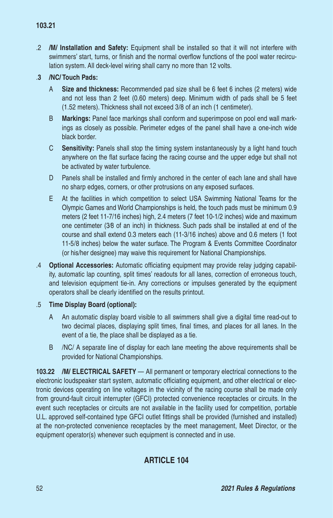.2 **/M/ Installation and Safety:** Equipment shall be installed so that it will not interfere with swimmers' start, turns, or finish and the normal overflow functions of the pool water recirculation system. All deck-level wiring shall carry no more than 12 volts.

# .**3 /NC/ Touch Pads:**

- A **Size and thickness:** Recommended pad size shall be 6 feet 6 inches (2 meters) wide and not less than 2 feet (0.60 meters) deep. Minimum width of pads shall be 5 feet (1.52 meters). Thickness shall not exceed 3/8 of an inch (1 centimeter).
- B **Markings:** Panel face markings shall conform and superimpose on pool end wall markings as closely as possible. Perimeter edges of the panel shall have a one-inch wide black border.
- C **Sensitivity:** Panels shall stop the timing system instantaneously by a light hand touch anywhere on the flat surface facing the racing course and the upper edge but shall not be activated by water turbulence.
- D Panels shall be installed and firmly anchored in the center of each lane and shall have no sharp edges, corners, or other protrusions on any exposed surfaces.
- E At the facilities in which competition to select USA Swimming National Teams for the Olympic Games and World Championships is held, the touch pads must be minimum 0.9 meters (2 feet 11-7/16 inches) high, 2.4 meters (7 feet 10-1/2 inches) wide and maximum one centimeter (3⁄8 of an inch) in thickness. Such pads shall be installed at end of the course and shall extend 0.3 meters each (11-3/16 inches) above and 0.6 meters (1 foot 11-5/8 inches) below the water surface. The Program & Events Committee Coordinator (or his/her designee) may waive this requirement for National Championships.
- .4 **Optional Accessories:** Automatic officiating equipment may provide relay judging capability, automatic lap counting, split times' readouts for all lanes, correction of erroneous touch, and television equipment tie-in. Any corrections or impulses generated by the equipment operators shall be clearly identified on the results printout.

# .5 **Time Display Board (optional):**

- A An automatic display board visible to all swimmers shall give a digital time read-out to two decimal places, displaying split times, final times, and places for all lanes. In the event of a tie, the place shall be displayed as a tie.
- B /NC/ A separate line of display for each lane meeting the above requirements shall be provided for National Championships.

**103.22 /M/ ELECTRICAL SAFETY** — All permanent or temporary electrical connections to the electronic loudspeaker start system, automatic officiating equipment, and other electrical or electronic devices operating on line voltages in the vicinity of the racing course shall be made only from ground-fault circuit interrupter (GFCI) protected convenience receptacles or circuits. In the event such receptacles or circuits are not available in the facility used for competition, portable U.L. approved self-contained type GFCI outlet fittings shall be provided (furnished and installed) at the non-protected convenience receptacles by the meet management, Meet Director, or the equipment operator(s) whenever such equipment is connected and in use.

# **ARTICLE 104**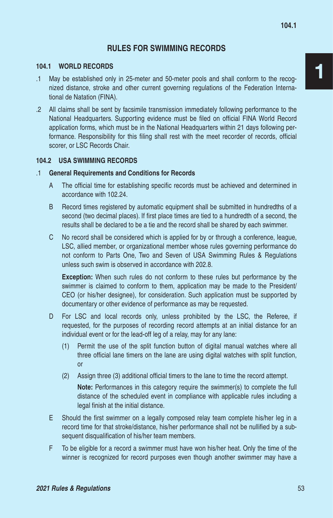# **RULES FOR SWIMMING RECORDS**

#### **104.1 WORLD RECORDS**

- .1 May be established only in 25-meter and 50-meter pools and shall conform to the recognized distance, stroke and other current governing regulations of the Federation International de Natation (FINA).
- .2 All claims shall be sent by facsimile transmission immediately following performance to the National Headquarters. Supporting evidence must be filed on official FINA World Record application forms, which must be in the National Headquarters within 21 days following performance. Responsibility for this filing shall rest with the meet recorder of records, official scorer, or LSC Records Chair.

#### **104.2 USA SWIMMING RECORDS**

#### .1 **General Requirements and Conditions for Records**

- A The official time for establishing specific records must be achieved and determined in accordance with 102.24.
- B Record times registered by automatic equipment shall be submitted in hundredths of a second (two decimal places). If first place times are tied to a hundredth of a second, the results shall be declared to be a tie and the record shall be shared by each swimmer.
- C No record shall be considered which is applied for by or through a conference, league, LSC, allied member, or organizational member whose rules governing performance do not conform to Parts One, Two and Seven of USA Swimming Rules & Regulations unless such swim is observed in accordance with 202.8.

**Exception:** When such rules do not conform to these rules but performance by the swimmer is claimed to conform to them, application may be made to the President/ CEO (or his/her designee), for consideration. Such application must be supported by documentary or other evidence of performance as may be requested.

- D For LSC and local records only, unless prohibited by the LSC, the Referee, if requested, for the purposes of recording record attempts at an initial distance for an individual event or for the lead-off leg of a relay, may for any lane:
	- (1) Permit the use of the split function button of digital manual watches where all three official lane timers on the lane are using digital watches with split function, or
	- (2) Assign three (3) additional official timers to the lane to time the record attempt.

**Note:** Performances in this category require the swimmer(s) to complete the full distance of the scheduled event in compliance with applicable rules including a legal finish at the initial distance.

- E Should the first swimmer on a legally composed relay team complete his/her leg in a record time for that stroke/distance, his/her performance shall not be nullified by a subsequent disqualification of his/her team members.
- F To be eligible for a record a swimmer must have won his/her heat. Only the time of the winner is recognized for record purposes even though another swimmer may have a

1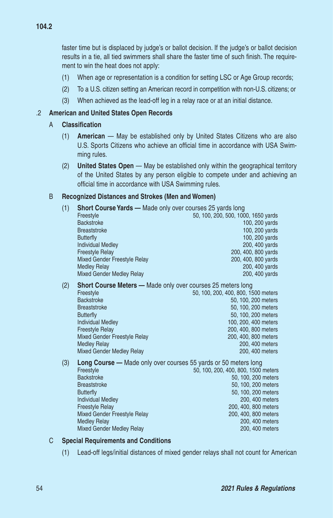faster time but is displaced by judge's or ballot decision. If the judge's or ballot decision results in a tie, all tied swimmers shall share the faster time of such finish. The requirement to win the heat does not apply:

- (1) When age or representation is a condition for setting LSC or Age Group records;
- (2) To a U.S. citizen setting an American record in competition with non-U.S. citizens; or
- (3) When achieved as the lead-off leg in a relay race or at an initial distance.

## .2 **American and United States Open Records**

#### A **Classification**

- (1) **American** May be established only by United States Citizens who are also U.S. Sports Citizens who achieve an official time in accordance with USA Swimming rules.
- (2) **United States Open** May be established only within the geographical territory of the United States by any person eligible to compete under and achieving an official time in accordance with USA Swimming rules.

## B **Recognized Distances and Strokes (Men and Women)**

- (1) **Short Course Yards —** Made only over courses 25 yards long Freestyle 50, 100, 200, 500, 1000, 1650 yards<br>Backstroke 100. 200 yards 100, 200 yards Breaststroke 100, 200 yards Butterfly 100, 200 yards and the United States of the United States of the United States of the United States of the United States of the United States of the United States of the United States of the United States of the 200, 400 yards Freestyle Relay 200, 400, 800 yards Mixed Gender Freestyle Relay 200, 400, 800 yards<br>Medley Relay 200, 400 yards 200, 400 yards 200, 400 yards Mixed Gender Medley Relay 200, 400 yards (2) **Short Course Meters —** Made only over courses 25 meters long Freestyle 50, 100, 200, 400, 800, 1500 meters<br>Backstroke 50, 100, 200 meters 50, 100, 200 meters Breaststroke 50, 100, 200 meters Butterfly 50, 100, 200 meters 100, 200, 400 meters Freestyle Relay 200, 400, 800 meters Mixed Gender Freestyle Relay 200, 400, 800 meters<br>Medley Relay 200, 400 meters 200, 400 meters 200, 400 meters Mixed Gender Medley Relay 200, 400 meters (3) **Long Course —** Made only over courses 55 yards or 50 meters long Freestyle 50, 100, 200, 400, 800, 1500 meters<br>Backstroke 50, 100, 200 meters 50, 100, 200 meters Breaststroke 50, 100, 200 meters
	- Butterfly 50, 100, 200 meters<br>1990. Individual Medlev 1990. And the state of the state of the state of the state of the state of the state o<br>1990. A00 meters **Individual Medley** Freestyle Relay 200, 400, 800 meters Mixed Gender Freestyle Relay 200, 400, 800 meters 200, 400, 800 meters 200, 400, 800 meters 200, 400 meters Mixed Gender Medley Relay 200, 400 meters

#### C **Special Requirements and Conditions**

(1) Lead-off legs/initial distances of mixed gender relays shall not count for American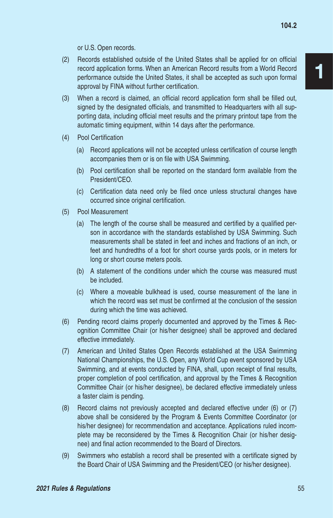or U.S. Open records.

- (2) Records established outside of the United States shall be applied for on official record application forms. When an American Record results from a World Record performance outside the United States, it shall be accepted as such upon formal approval by FINA without further certification.
- (3) When a record is claimed, an official record application form shall be filled out, signed by the designated officials, and transmitted to Headquarters with all supporting data, including official meet results and the primary printout tape from the automatic timing equipment, within 14 days after the performance.
- (4) Pool Certification
	- (a) Record applications will not be accepted unless certification of course length accompanies them or is on file with USA Swimming.
	- (b) Pool certification shall be reported on the standard form available from the President/CEO.
	- (c) Certification data need only be filed once unless structural changes have occurred since original certification.
- (5) Pool Measurement
	- (a) The length of the course shall be measured and certified by a qualified person in accordance with the standards established by USA Swimming. Such measurements shall be stated in feet and inches and fractions of an inch, or feet and hundredths of a foot for short course yards pools, or in meters for long or short course meters pools.
	- (b) A statement of the conditions under which the course was measured must be included.
	- (c) Where a moveable bulkhead is used, course measurement of the lane in which the record was set must be confirmed at the conclusion of the session during which the time was achieved.
- (6) Pending record claims properly documented and approved by the Times & Recognition Committee Chair (or his/her designee) shall be approved and declared effective immediately.
- (7) American and United States Open Records established at the USA Swimming National Championships, the U.S. Open, any World Cup event sponsored by USA Swimming, and at events conducted by FINA, shall, upon receipt of final results, proper completion of pool certification, and approval by the Times & Recognition Committee Chair (or his/her designee), be declared effective immediately unless a faster claim is pending.
- (8) Record claims not previously accepted and declared effective under (6) or (7) above shall be considered by the Program & Events Committee Coordinator (or his/her designee) for recommendation and acceptance. Applications ruled incomplete may be reconsidered by the Times & Recognition Chair (or his/her designee) and final action recommended to the Board of Directors.
- (9) Swimmers who establish a record shall be presented with a certificate signed by the Board Chair of USA Swimming and the President/CEO (or his/her designee).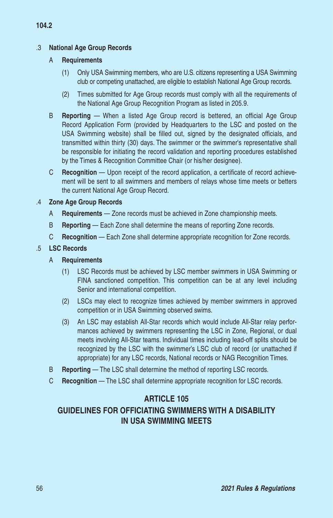# .3 **National Age Group Records**

#### A **Requirements**

- (1) Only USA Swimming members, who are U.S. citizens representing a USA Swimming club or competing unattached, are eligible to establish National Age Group records.
- (2) Times submitted for Age Group records must comply with all the requirements of the National Age Group Recognition Program as listed in 205.9.
- B **Reporting** When a listed Age Group record is bettered, an official Age Group Record Application Form (provided by Headquarters to the LSC and posted on the USA Swimming website) shall be filled out, signed by the designated officials, and transmitted within thirty (30) days. The swimmer or the swimmer's representative shall be responsible for initiating the record validation and reporting procedures established by the Times & Recognition Committee Chair (or his/her designee).
- C **Recognition** Upon receipt of the record application, a certificate of record achievement will be sent to all swimmers and members of relays whose time meets or betters the current National Age Group Record.

## .4 **Zone Age Group Records**

- A **Requirements**  Zone records must be achieved in Zone championship meets.
- B **Reporting** Each Zone shall determine the means of reporting Zone records.
- C **Recognition** Each Zone shall determine appropriate recognition for Zone records.

## .5 **LSC Records**

- A **Requirements**
	- (1) LSC Records must be achieved by LSC member swimmers in USA Swimming or FINA sanctioned competition. This competition can be at any level including Senior and international competition.
	- (2) LSCs may elect to recognize times achieved by member swimmers in approved competition or in USA Swimming observed swims.
	- (3) An LSC may establish All-Star records which would include All-Star relay performances achieved by swimmers representing the LSC in Zone, Regional, or dual meets involving All-Star teams. Individual times including lead-off splits should be recognized by the LSC with the swimmer's LSC club of record (or unattached if appropriate) for any LSC records, National records or NAG Recognition Times.
- B **Reporting**  The LSC shall determine the method of reporting LSC records.
- C **Recognition** The LSC shall determine appropriate recognition for LSC records.

# **ARTICLE 105**

# **GUIDELINES FOR OFFICIATING SWIMMERS WITH A DISABILITY IN USA SWIMMING MEETS**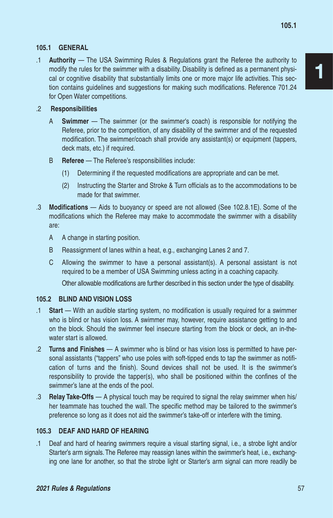#### **105.1 GENERAL**

.1 **Authority** — The USA Swimming Rules & Regulations grant the Referee the authority to modify the rules for the swimmer with a disability. Disability is defined as a permanent physical or cognitive disability that substantially limits one or more major life activities. This section contains guidelines and suggestions for making such modifications. Reference 701.24 for Open Water competitions.

#### .2 **Responsibilities**

- A **Swimmer**  The swimmer (or the swimmer's coach) is responsible for notifying the Referee, prior to the competition, of any disability of the swimmer and of the requested modification. The swimmer/coach shall provide any assistant(s) or equipment (tappers, deck mats, etc.) if required.
- B **Referee**  The Referee's responsibilities include:
	- (1) Determining if the requested modifications are appropriate and can be met.
	- (2) Instructing the Starter and Stroke & Turn officials as to the accommodations to be made for that swimmer.
- .3 **Modifications**  Aids to buoyancy or speed are not allowed (See 102.8.1E). Some of the modifications which the Referee may make to accommodate the swimmer with a disability are:
	- A A change in starting position.
	- B Reassignment of lanes within a heat, e.g., exchanging Lanes 2 and 7.
	- C Allowing the swimmer to have a personal assistant(s). A personal assistant is not required to be a member of USA Swimming unless acting in a coaching capacity.

Other allowable modifications are further described in this section under the type of disability.

#### **105.2 BLIND AND VISION LOSS**

- .1 **Start**  With an audible starting system, no modification is usually required for a swimmer who is blind or has vision loss. A swimmer may, however, require assistance getting to and on the block. Should the swimmer feel insecure starting from the block or deck, an in-thewater start is allowed.
- .2 **Turns and Finishes** A swimmer who is blind or has vision loss is permitted to have personal assistants ("tappers" who use poles with soft-tipped ends to tap the swimmer as notification of turns and the finish). Sound devices shall not be used. It is the swimmer's responsibility to provide the tapper(s), who shall be positioned within the confines of the swimmer's lane at the ends of the pool.
- .3 **Relay Take-Offs** A physical touch may be required to signal the relay swimmer when his/ her teammate has touched the wall. The specific method may be tailored to the swimmer's preference so long as it does not aid the swimmer's take-off or interfere with the timing.

#### **105.3 DEAF AND HARD OF HEARING**

.1 Deaf and hard of hearing swimmers require a visual starting signal, i.e., a strobe light and/or Starter's arm signals. The Referee may reassign lanes within the swimmer's heat, i.e., exchanging one lane for another, so that the strobe light or Starter's arm signal can more readily be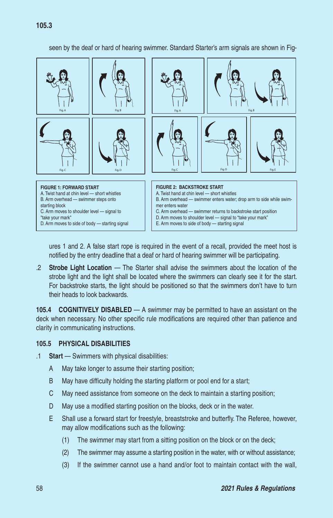seen by the deaf or hard of hearing swimmer. Standard Starter's arm signals are shown in Fig-



ures 1 and 2. A false start rope is required in the event of a recall, provided the meet host is notified by the entry deadline that a deaf or hard of hearing swimmer will be participating.

.2 **Strobe Light Location** — The Starter shall advise the swimmers about the location of the strobe light and the light shall be located where the swimmers can clearly see it for the start. For backstroke starts, the light should be positioned so that the swimmers don't have to turn their heads to look backwards.

**105.4 COGNITIVELY DISABLED** — A swimmer may be permitted to have an assistant on the deck when necessary. No other specific rule modifications are required other than patience and clarity in communicating instructions.

#### **105.5 PHYSICAL DISABILITIES**

- .1 **Start**  Swimmers with physical disabilities:
	- A May take longer to assume their starting position;
	- B May have difficulty holding the starting platform or pool end for a start;
	- C May need assistance from someone on the deck to maintain a starting position;
	- D May use a modified starting position on the blocks, deck or in the water.
	- E Shall use a forward start for freestyle, breaststroke and butterfly. The Referee, however, may allow modifications such as the following:
		- (1) The swimmer may start from a sitting position on the block or on the deck;
		- (2) The swimmer may assume a starting position in the water, with or without assistance;
		- (3) If the swimmer cannot use a hand and/or foot to maintain contact with the wall,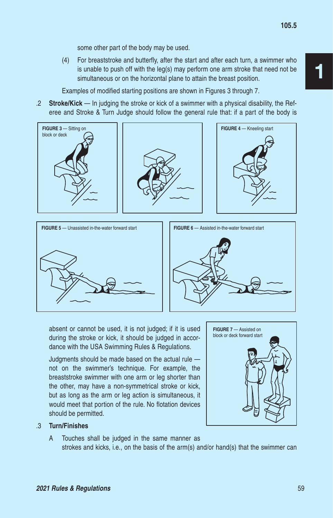some other part of the body may be used.

(4) For breaststroke and butterfly, after the start and after each turn, a swimmer who is unable to push off with the leg(s) may perform one arm stroke that need not be simultaneous or on the horizontal plane to attain the breast position.

Examples of modified starting positions are shown in Figures 3 through 7.

.2 **Stroke/Kick** — In judging the stroke or kick of a swimmer with a physical disability, the Referee and Stroke & Turn Judge should follow the general rule that: if a part of the body is







absent or cannot be used, it is not judged; if it is used during the stroke or kick, it should be judged in accordance with the USA Swimming Rules & Regulations.

Judgments should be made based on the actual rule not on the swimmer's technique. For example, the breaststroke swimmer with one arm or leg shorter than the other, may have a non-symmetrical stroke or kick, but as long as the arm or leg action is simultaneous, it would meet that portion of the rule. No flotation devices should be permitted.



#### .3 **Turn/Finishes**

A Touches shall be judged in the same manner as strokes and kicks, i.e., on the basis of the arm(s) and/or hand(s) that the swimmer can